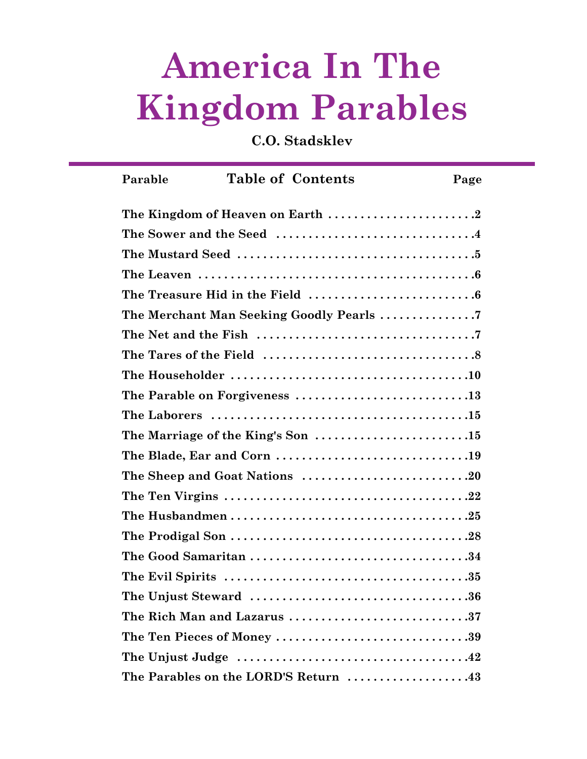# **America In The Kingdom Parables**

**C.O. Stadsklev**

| Parable                    |  | <b>Table of Contents</b>             | Page |  |
|----------------------------|--|--------------------------------------|------|--|
|                            |  |                                      |      |  |
|                            |  |                                      |      |  |
|                            |  |                                      |      |  |
|                            |  |                                      |      |  |
|                            |  |                                      |      |  |
|                            |  |                                      |      |  |
|                            |  |                                      |      |  |
|                            |  |                                      |      |  |
|                            |  |                                      |      |  |
|                            |  | The Parable on Forgiveness 13        |      |  |
|                            |  |                                      |      |  |
|                            |  |                                      |      |  |
|                            |  |                                      |      |  |
|                            |  |                                      |      |  |
|                            |  |                                      |      |  |
|                            |  |                                      |      |  |
|                            |  |                                      |      |  |
|                            |  |                                      |      |  |
|                            |  |                                      |      |  |
|                            |  |                                      |      |  |
|                            |  | The Rich Man and Lazarus 37          |      |  |
| The Ten Pieces of Money 39 |  |                                      |      |  |
|                            |  |                                      |      |  |
|                            |  | The Parables on the LORD'S Return 43 |      |  |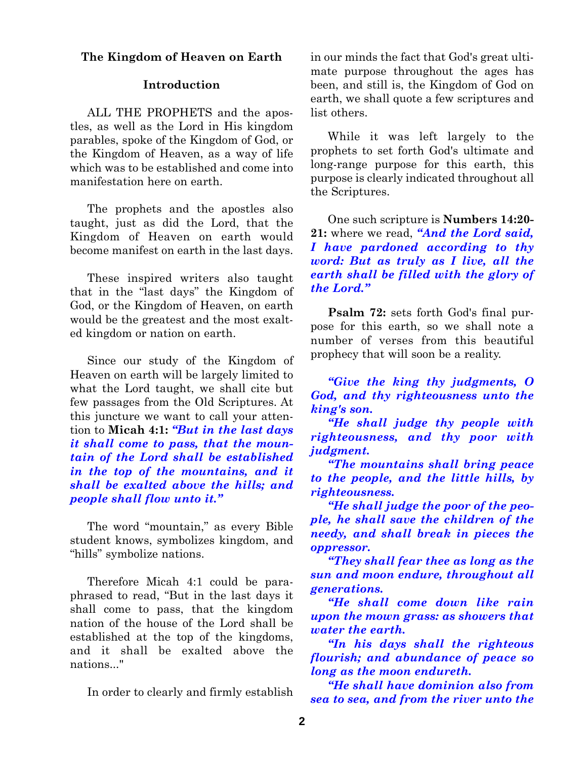## **The Kingdom of Heaven on Earth**

## **Introduction**

ALL THE PROPHETS and the apostles, as well as the Lord in His kingdom parables, spoke of the Kingdom of God, or the Kingdom of Heaven, as a way of life which was to be established and come into manifestation here on earth.

The prophets and the apostles also taught, just as did the Lord, that the Kingdom of Heaven on earth would become manifest on earth in the last days.

These inspired writers also taught that in the "last days" the Kingdom of God, or the Kingdom of Heaven, on earth would be the greatest and the most exalted kingdom or nation on earth.

Since our study of the Kingdom of Heaven on earth will be largely limited to what the Lord taught, we shall cite but few passages from the Old Scriptures. At this juncture we want to call your attention to **Micah 4:1:** *"But in the last days it shall come to pass, that the mountain of the Lord shall be established in the top of the mountains, and it shall be exalted above the hills; and people shall flow unto it."*

The word "mountain," as every Bible student knows, symbolizes kingdom, and "hills" symbolize nations.

Therefore Micah 4:1 could be paraphrased to read, "But in the last days it shall come to pass, that the kingdom nation of the house of the Lord shall be established at the top of the kingdoms, and it shall be exalted above the nations..."

In order to clearly and firmly establish

in our minds the fact that God's great ultimate purpose throughout the ages has been, and still is, the Kingdom of God on earth, we shall quote a few scriptures and list others.

While it was left largely to the prophets to set forth God's ultimate and long-range purpose for this earth, this purpose is clearly indicated throughout all the Scriptures.

One such scripture is **Numbers 14:20- 21:** where we read, *"And the Lord said, I have pardoned according to thy word: But as truly as I live, all the earth shall be filled with the glory of the Lord."*

**Psalm 72:** sets forth God's final purpose for this earth, so we shall note a number of verses from this beautiful prophecy that will soon be a reality.

*"Give the king thy judgments, O God, and thy righteousness unto the king's son.* 

*"He shall judge thy people with righteousness, and thy poor with judgment.*

*"The mountains shall bring peace to the people, and the little hills, by righteousness.*

*"He shall judge the poor of the people, he shall save the children of the needy, and shall break in pieces the oppressor.* 

*"They shall fear thee as long as the sun and moon endure, throughout all generations.*

*"He shall come down like rain upon the mown grass: as showers that water the earth.* 

*"In his days shall the righteous flourish; and abundance of peace so long as the moon endureth.*

*"He shall have dominion also from sea to sea, and from the river unto the*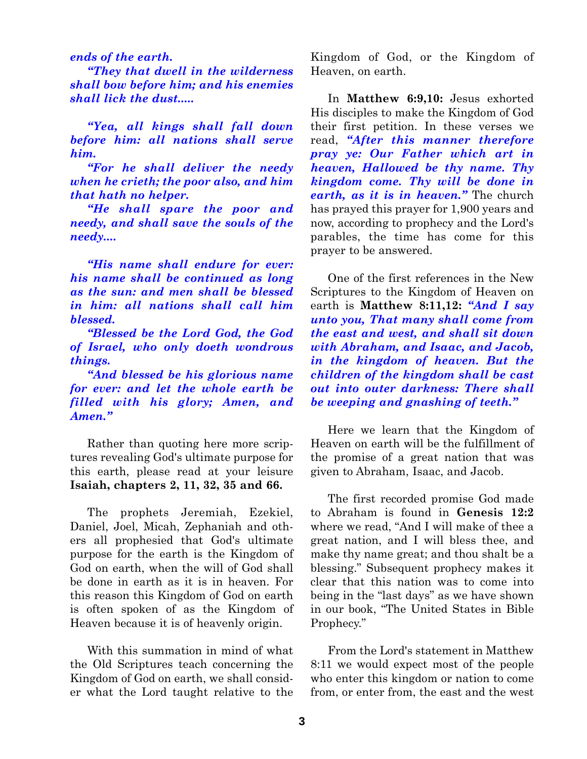*ends of the earth.*

*"They that dwell in the wilderness shall bow before him; and his enemies shall lick the dust.....*

*"Yea, all kings shall fall down before him: all nations shall serve him.*

*"For he shall deliver the needy when he crieth; the poor also, and him that hath no helper.*

*"He shall spare the poor and needy, and shall save the souls of the needy....*

*"His name shall endure for ever: his name shall be continued as long as the sun: and men shall be blessed in him: all nations shall call him blessed.*

*"Blessed be the Lord God, the God of Israel, who only doeth wondrous things.* 

*"And blessed be his glorious name for ever: and let the whole earth be filled with his glory; Amen, and Amen."*

Rather than quoting here more scriptures revealing God's ultimate purpose for this earth, please read at your leisure **Isaiah, chapters 2, 11, 32, 35 and 66.**

The prophets Jeremiah, Ezekiel, Daniel, Joel, Micah, Zephaniah and others all prophesied that God's ultimate purpose for the earth is the Kingdom of God on earth, when the will of God shall be done in earth as it is in heaven. For this reason this Kingdom of God on earth is often spoken of as the Kingdom of Heaven because it is of heavenly origin.

With this summation in mind of what the Old Scriptures teach concerning the Kingdom of God on earth, we shall consider what the Lord taught relative to the

Kingdom of God, or the Kingdom of Heaven, on earth.

In **Matthew 6:9,10:** Jesus exhorted His disciples to make the Kingdom of God their first petition. In these verses we read, *"After this manner therefore pray ye: Our Father which art in heaven, Hallowed be thy name. Thy kingdom come. Thy will be done in earth, as it is in heaven."* The church has prayed this prayer for 1,900 years and now, according to prophecy and the Lord's parables, the time has come for this prayer to be answered.

One of the first references in the New Scriptures to the Kingdom of Heaven on earth is **Matthew 8:11,12:** *"And I say unto you, That many shall come from the east and west, and shall sit down with Abraham, and Isaac, and Jacob, in the kingdom of heaven. But the children of the kingdom shall be cast out into outer darkness: There shall be weeping and gnashing of teeth."*

Here we learn that the Kingdom of Heaven on earth will be the fulfillment of the promise of a great nation that was given to Abraham, Isaac, and Jacob.

The first recorded promise God made to Abraham is found in **Genesis 12:2** where we read, "And I will make of thee a great nation, and I will bless thee, and make thy name great; and thou shalt be a blessing." Subsequent prophecy makes it clear that this nation was to come into being in the "last days" as we have shown in our book, "The United States in Bible Prophecy."

From the Lord's statement in Matthew 8:11 we would expect most of the people who enter this kingdom or nation to come from, or enter from, the east and the west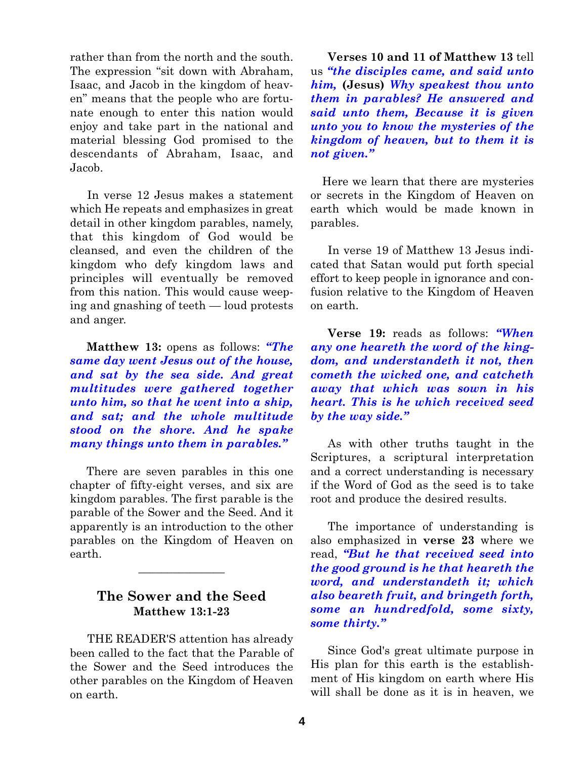rather than from the north and the south. The expression "sit down with Abraham, Isaac, and Jacob in the kingdom of heaven" means that the people who are fortunate enough to enter this nation would enjoy and take part in the national and material blessing God promised to the descendants of Abraham, Isaac, and Jacob.

In verse 12 Jesus makes a statement which He repeats and emphasizes in great detail in other kingdom parables, namely, that this kingdom of God would be cleansed, and even the children of the kingdom who defy kingdom laws and principles will eventually be removed from this nation. This would cause weeping and gnashing of teeth — loud protests and anger.

**Matthew 13:** opens as follows: *"The same day went Jesus out of the house, and sat by the sea side. And great multitudes were gathered together unto him, so that he went into a ship, and sat; and the whole multitude stood on the shore. And he spake many things unto them in parables."*

There are seven parables in this one chapter of fifty-eight verses, and six are kingdom parables. The first parable is the parable of the Sower and the Seed. And it apparently is an introduction to the other parables on the Kingdom of Heaven on earth.

# **The Sower and the Seed Matthew 13:1-23**

 $\overline{\phantom{a}}$  , where  $\overline{\phantom{a}}$ 

THE READER'S attention has already been called to the fact that the Parable of the Sower and the Seed introduces the other parables on the Kingdom of Heaven on earth.

**Verses 10 and 11 of Matthew 13** tell us *"the disciples came, and said unto him,* **(Jesus)** *Why speakest thou unto them in parables? He answered and said unto them, Because it is given unto you to know the mysteries of the kingdom of heaven, but to them it is not given."*

Here we learn that there are mysteries or secrets in the Kingdom of Heaven on earth which would be made known in parables.

In verse 19 of Matthew 13 Jesus indicated that Satan would put forth special effort to keep people in ignorance and confusion relative to the Kingdom of Heaven on earth.

**Verse 19:** reads as follows: *"When any one heareth the word of the kingdom, and understandeth it not, then cometh the wicked one, and catcheth away that which was sown in his heart. This is he which received seed by the way side."*

As with other truths taught in the Scriptures, a scriptural interpretation and a correct understanding is necessary if the Word of God as the seed is to take root and produce the desired results.

The importance of understanding is also emphasized in **verse 23** where we read, *"But he that received seed into the good ground is he that heareth the word, and understandeth it; which also beareth fruit, and bringeth forth, some an hundredfold, some sixty, some thirty."*

Since God's great ultimate purpose in His plan for this earth is the establishment of His kingdom on earth where His will shall be done as it is in heaven, we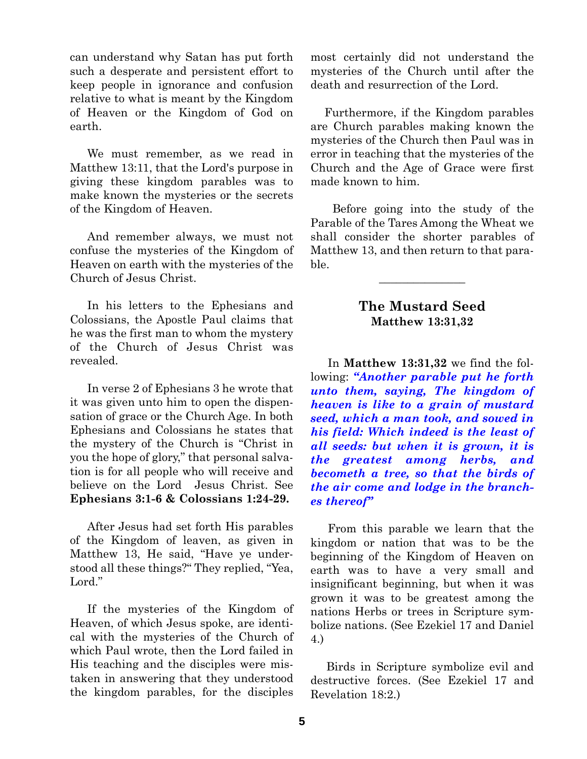can understand why Satan has put forth such a desperate and persistent effort to keep people in ignorance and confusion relative to what is meant by the Kingdom of Heaven or the Kingdom of God on earth.

We must remember, as we read in Matthew 13:11, that the Lord's purpose in giving these kingdom parables was to make known the mysteries or the secrets of the Kingdom of Heaven.

And remember always, we must not confuse the mysteries of the Kingdom of Heaven on earth with the mysteries of the Church of Jesus Christ.

In his letters to the Ephesians and Colossians, the Apostle Paul claims that he was the first man to whom the mystery of the Church of Jesus Christ was revealed.

In verse 2 of Ephesians 3 he wrote that it was given unto him to open the dispensation of grace or the Church Age. In both Ephesians and Colossians he states that the mystery of the Church is "Christ in you the hope of glory," that personal salvation is for all people who will receive and believe on the Lord Jesus Christ. See **Ephesians 3:1-6 & Colossians 1:24-29.**

After Jesus had set forth His parables of the Kingdom of leaven, as given in Matthew 13, He said, "Have ye understood all these things?" They replied, "Yea, Lord."

If the mysteries of the Kingdom of Heaven, of which Jesus spoke, are identical with the mysteries of the Church of which Paul wrote, then the Lord failed in His teaching and the disciples were mistaken in answering that they understood the kingdom parables, for the disciples

most certainly did not understand the mysteries of the Church until after the death and resurrection of the Lord.

Furthermore, if the Kingdom parables are Church parables making known the mysteries of the Church then Paul was in error in teaching that the mysteries of the Church and the Age of Grace were first made known to him.

Before going into the study of the Parable of the Tares Among the Wheat we shall consider the shorter parables of Matthew 13, and then return to that parable.

## **The Mustard Seed Matthew 13:31,32**

 $\overline{\phantom{a}}$  , where  $\overline{\phantom{a}}$ 

In **Matthew 13:31,32** we find the following: *"Another parable put he forth unto them, saying, The kingdom of heaven is like to a grain of mustard seed, which a man took, and sowed in his field: Which indeed is the least of all seeds: but when it is grown, it is the greatest among herbs, and becometh a tree, so that the birds of the air come and lodge in the branches thereof"* 

From this parable we learn that the kingdom or nation that was to be the beginning of the Kingdom of Heaven on earth was to have a very small and insignificant beginning, but when it was grown it was to be greatest among the nations Herbs or trees in Scripture symbolize nations. (See Ezekiel 17 and Daniel 4.)

Birds in Scripture symbolize evil and destructive forces. (See Ezekiel 17 and Revelation 18:2.)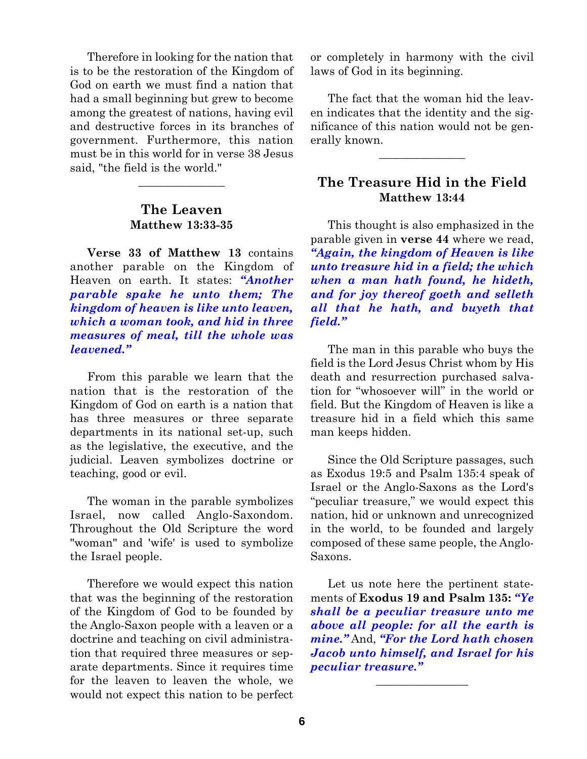Therefore in looking for the nation that is to be the restoration of the Kingdom of God on earth we must find a nation that had a small beginning but grew to become among the greatest of nations, having evil and destructive forces in its branches of government. Furthermore, this nation must be in this world for in verse 38 Jesus said, "the field is the world."

# **The Leaven Matthew 13:33-35**

 $\overline{\phantom{a}}$  , where  $\overline{\phantom{a}}$ 

**Verse 33 of Matthew 13** contains another parable on the Kingdom of Heaven on earth. It states: *"Another parable spake he unto them; The kingdom of heaven is like unto leaven, which a woman took, and hid in three measures of meal, till the whole was leavened."*

From this parable we learn that the nation that is the restoration of the Kingdom of God on earth is a nation that has three measures or three separate departments in its national set-up, such as the legislative, the executive, and the judicial. Leaven symbolizes doctrine or teaching, good or evil.

The woman in the parable symbolizes Israel, now called Anglo-Saxondom. Throughout the Old Scripture the word "woman" and 'wife' is used to symbolize the Israel people.

Therefore we would expect this nation that was the beginning of the restoration of the Kingdom of God to be founded by the Anglo-Saxon people with a leaven or a doctrine and teaching on civil administration that required three measures or separate departments. Since it requires time for the leaven to leaven the whole, we would not expect this nation to be perfect

or completely in harmony with the civil laws of God in its beginning.

The fact that the woman hid the leaven indicates that the identity and the significance of this nation would not be generally known.

 $\overline{\phantom{a}}$ 

# **The Treasure Hid in the Field Matthew 13:44**

This thought is also emphasized in the parable given in **verse 44** where we read, *"Again, the kingdom of Heaven is like unto treasure hid in a field; the which when a man hath found, he hideth, and for joy thereof goeth and selleth all that he hath, and buyeth that field."*

The man in this parable who buys the field is the Lord Jesus Christ whom by His death and resurrection purchased salvation for "whosoever will" in the world or field. But the Kingdom of Heaven is like a treasure hid in a field which this same man keeps hidden.

Since the Old Scripture passages, such as Exodus 19:5 and Psalm 135:4 speak of Israel or the Anglo-Saxons as the Lord's "peculiar treasure," we would expect this nation, hid or unknown and unrecognized in the world, to be founded and largely composed of these same people, the Anglo-Saxons.

Let us note here the pertinent statements of **Exodus 19 and Psalm 135:** *"Ye shall be a peculiar treasure unto me above all people: for all the earth is mine."* And, *"For the Lord hath chosen Jacob unto himself, and Israel for his peculiar treasure."*

 $\overline{\phantom{a}}$  , where  $\overline{\phantom{a}}$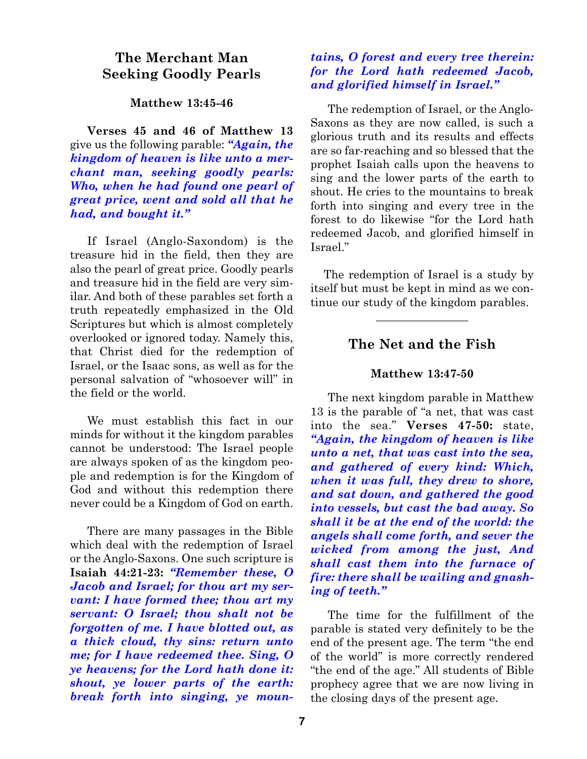# **The Merchant Man Seeking Goodly Pearls**

### **Matthew 13:45-46**

**Verses 45 and 46 of Matthew 13** give us the following parable: *"Again, the kingdom of heaven is like unto a merchant man, seeking goodly pearls: Who, when he had found one pearl of great price, went and sold all that he had, and bought it."*

If Israel (Anglo-Saxondom) is the treasure hid in the field, then they are also the pearl of great price. Goodly pearls and treasure hid in the field are very similar. And both of these parables set forth a truth repeatedly emphasized in the Old Scriptures but which is almost completely overlooked or ignored today. Namely this, that Christ died for the redemption of Israel, or the Isaac sons, as well as for the personal salvation of "whosoever will" in the field or the world.

We must establish this fact in our minds for without it the kingdom parables cannot be understood: The Israel people are always spoken of as the kingdom people and redemption is for the Kingdom of God and without this redemption there never could be a Kingdom of God on earth.

There are many passages in the Bible which deal with the redemption of Israel or the Anglo-Saxons. One such scripture is **Isaiah 44:21-23:** *"Remember these, O Jacob and Israel; for thou art my servant: I have formed thee; thou art my servant: O Israel; thou shalt not be forgotten of me. I have blotted out, as a thick cloud, thy sins: return unto me; for I have redeemed thee. Sing, O ye heavens; for the Lord hath done it: shout, ye lower parts of the earth: break forth into singing, ye moun-*

## *tains, O forest and every tree therein: for the Lord hath redeemed Jacob, and glorified himself in Israel."*

The redemption of Israel, or the Anglo-Saxons as they are now called, is such a glorious truth and its results and effects are so far-reaching and so blessed that the prophet Isaiah calls upon the heavens to sing and the lower parts of the earth to shout. He cries to the mountains to break forth into singing and every tree in the forest to do likewise "for the Lord hath redeemed Jacob, and glorified himself in Israel."

The redemption of Israel is a study by itself but must be kept in mind as we continue our study of the kingdom parables.

 $\overline{\phantom{a}}$  , where  $\overline{\phantom{a}}$ 

## **The Net and the Fish**

### **Matthew 13:47-50**

The next kingdom parable in Matthew 13 is the parable of "a net, that was cast into the sea." **Verses 47-50:** state, *"Again, the kingdom of heaven is like unto a net, that was cast into the sea, and gathered of every kind: Which, when it was full, they drew to shore, and sat down, and gathered the good into vessels, but cast the bad away. So shall it be at the end of the world: the angels shall come forth, and sever the wicked from among the just, And shall cast them into the furnace of fire: there shall be wailing and gnashing of teeth."*

The time for the fulfillment of the parable is stated very definitely to be the end of the present age. The term "the end of the world" is more correctly rendered "the end of the age." All students of Bible prophecy agree that we are now living in the closing days of the present age.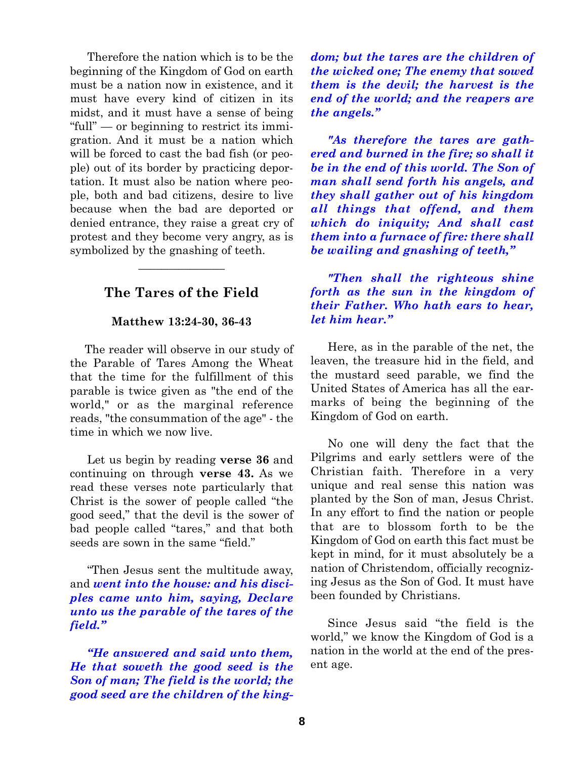Therefore the nation which is to be the beginning of the Kingdom of God on earth must be a nation now in existence, and it must have every kind of citizen in its midst, and it must have a sense of being "full" — or beginning to restrict its immigration. And it must be a nation which will be forced to cast the bad fish (or people) out of its border by practicing deportation. It must also be nation where people, both and bad citizens, desire to live because when the bad are deported or denied entrance, they raise a great cry of protest and they become very angry, as is symbolized by the gnashing of teeth.

# **The Tares of the Field**

 $\overline{\phantom{a}}$  , where  $\overline{\phantom{a}}$ 

### **Matthew 13:24-30, 36-43**

The reader will observe in our study of the Parable of Tares Among the Wheat that the time for the fulfillment of this parable is twice given as "the end of the world," or as the marginal reference reads, "the consummation of the age" - the time in which we now live.

Let us begin by reading **verse 36** and continuing on through **verse 43.** As we read these verses note particularly that Christ is the sower of people called "the good seed," that the devil is the sower of bad people called "tares," and that both seeds are sown in the same "field."

"Then Jesus sent the multitude away, and *went into the house: and his disciples came unto him, saying, Declare unto us the parable of the tares of the field."*

*"He answered and said unto them, He that soweth the good seed is the Son of man; The field is the world; the good seed are the children of the king-* *dom; but the tares are the children of the wicked one; The enemy that sowed them is the devil; the harvest is the end of the world; and the reapers are the angels."*

*"As therefore the tares are gathered and burned in the fire; so shall it be in the end of this world. The Son of man shall send forth his angels, and they shall gather out of his kingdom all things that offend, and them which do iniquity; And shall cast them into a furnace of fire: there shall be wailing and gnashing of teeth,"*

*"Then shall the righteous shine forth as the sun in the kingdom of their Father. Who hath ears to hear, let him hear."*

Here, as in the parable of the net, the leaven, the treasure hid in the field, and the mustard seed parable, we find the United States of America has all the earmarks of being the beginning of the Kingdom of God on earth.

No one will deny the fact that the Pilgrims and early settlers were of the Christian faith. Therefore in a very unique and real sense this nation was planted by the Son of man, Jesus Christ. In any effort to find the nation or people that are to blossom forth to be the Kingdom of God on earth this fact must be kept in mind, for it must absolutely be a nation of Christendom, officially recognizing Jesus as the Son of God. It must have been founded by Christians.

Since Jesus said "the field is the world," we know the Kingdom of God is a nation in the world at the end of the present age.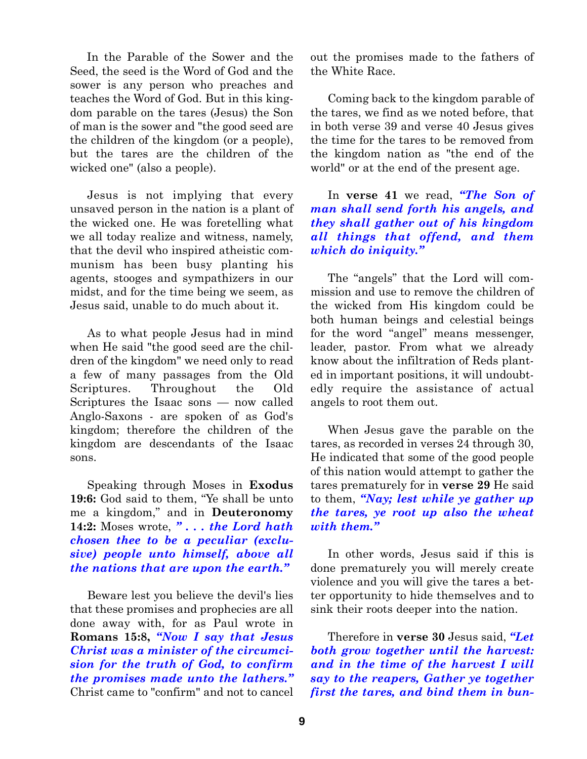In the Parable of the Sower and the Seed, the seed is the Word of God and the sower is any person who preaches and teaches the Word of God. But in this kingdom parable on the tares (Jesus) the Son of man is the sower and "the good seed are the children of the kingdom (or a people), but the tares are the children of the wicked one" (also a people).

Jesus is not implying that every unsaved person in the nation is a plant of the wicked one. He was foretelling what we all today realize and witness, namely, that the devil who inspired atheistic communism has been busy planting his agents, stooges and sympathizers in our midst, and for the time being we seem, as Jesus said, unable to do much about it.

As to what people Jesus had in mind when He said "the good seed are the children of the kingdom" we need only to read a few of many passages from the Old Scriptures. Throughout the Old Scriptures the Isaac sons — now called Anglo-Saxons - are spoken of as God's kingdom; therefore the children of the kingdom are descendants of the Isaac sons.

Speaking through Moses in **Exodus 19:6:** God said to them, "Ye shall be unto me a kingdom," and in **Deuteronomy 14:2:** Moses wrote, *" . . . the Lord hath chosen thee to be a peculiar (exclusive) people unto himself, above all the nations that are upon the earth."*

Beware lest you believe the devil's lies that these promises and prophecies are all done away with, for as Paul wrote in **Romans 15:8,** *"Now I say that Jesus Christ was a minister of the circumcision for the truth of God, to confirm the promises made unto the lathers."* Christ came to "confirm" and not to cancel

out the promises made to the fathers of the White Race.

Coming back to the kingdom parable of the tares, we find as we noted before, that in both verse 39 and verse 40 Jesus gives the time for the tares to be removed from the kingdom nation as "the end of the world" or at the end of the present age.

In **verse 41** we read, *"The Son of man shall send forth his angels, and they shall gather out of his kingdom all things that offend, and them which do iniquity."*

The "angels" that the Lord will commission and use to remove the children of the wicked from His kingdom could be both human beings and celestial beings for the word "angel" means messenger, leader, pastor. From what we already know about the infiltration of Reds planted in important positions, it will undoubtedly require the assistance of actual angels to root them out.

When Jesus gave the parable on the tares, as recorded in verses 24 through 30, He indicated that some of the good people of this nation would attempt to gather the tares prematurely for in **verse 29** He said to them, *"Nay; lest while ye gather up the tares, ye root up also the wheat with them."*

In other words, Jesus said if this is done prematurely you will merely create violence and you will give the tares a better opportunity to hide themselves and to sink their roots deeper into the nation.

Therefore in **verse 30** Jesus said, *"Let both grow together until the harvest: and in the time of the harvest I will say to the reapers, Gather ye together first the tares, and bind them in bun-*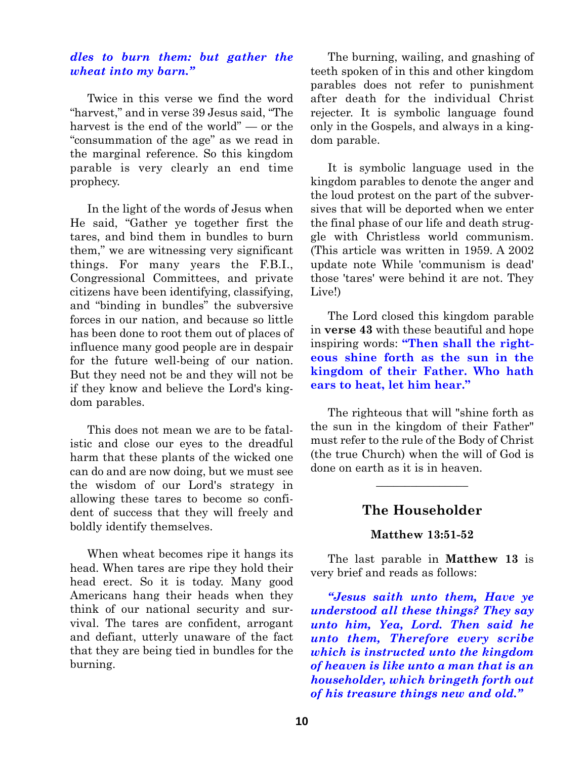## *dles to burn them: but gather the wheat into my barn."*

Twice in this verse we find the word "harvest," and in verse 39 Jesus said, "The harvest is the end of the world" — or the "consummation of the age" as we read in the marginal reference. So this kingdom parable is very clearly an end time prophecy.

In the light of the words of Jesus when He said, "Gather ye together first the tares, and bind them in bundles to burn them," we are witnessing very significant things. For many years the F.B.I., Congressional Committees, and private citizens have been identifying, classifying, and "binding in bundles" the subversive forces in our nation, and because so little has been done to root them out of places of influence many good people are in despair for the future well-being of our nation. But they need not be and they will not be if they know and believe the Lord's kingdom parables.

This does not mean we are to be fatalistic and close our eyes to the dreadful harm that these plants of the wicked one can do and are now doing, but we must see the wisdom of our Lord's strategy in allowing these tares to become so confident of success that they will freely and boldly identify themselves.

When wheat becomes ripe it hangs its head. When tares are ripe they hold their head erect. So it is today. Many good Americans hang their heads when they think of our national security and survival. The tares are confident, arrogant and defiant, utterly unaware of the fact that they are being tied in bundles for the burning.

The burning, wailing, and gnashing of teeth spoken of in this and other kingdom parables does not refer to punishment after death for the individual Christ rejecter. It is symbolic language found only in the Gospels, and always in a kingdom parable.

It is symbolic language used in the kingdom parables to denote the anger and the loud protest on the part of the subversives that will be deported when we enter the final phase of our life and death struggle with Christless world communism. (This article was written in 1959. A 2002 update note While 'communism is dead' those 'tares' were behind it are not. They Live!)

The Lord closed this kingdom parable in **verse 43** with these beautiful and hope inspiring words: **"Then shall the righteous shine forth as the sun in the kingdom of their Father. Who hath ears to heat, let him hear."**

The righteous that will "shine forth as the sun in the kingdom of their Father" must refer to the rule of the Body of Christ (the true Church) when the will of God is done on earth as it is in heaven.

# **The Householder**

 $\overline{\phantom{a}}$  , where  $\overline{\phantom{a}}$ 

## **Matthew 13:51-52**

The last parable in **Matthew 13** is very brief and reads as follows:

*"Jesus saith unto them, Have ye understood all these things? They say unto him, Yea, Lord. Then said he unto them, Therefore every scribe which is instructed unto the kingdom of heaven is like unto a man that is an householder, which bringeth forth out of his treasure things new and old."*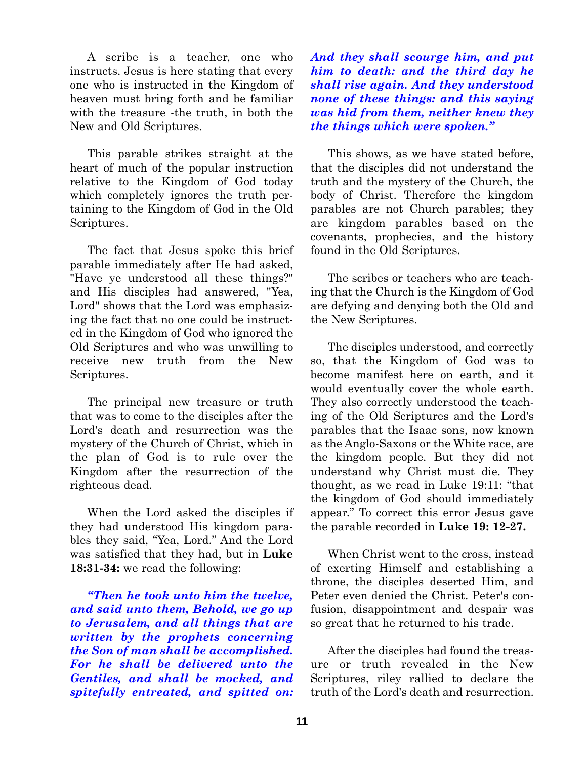A scribe is a teacher, one who instructs. Jesus is here stating that every one who is instructed in the Kingdom of heaven must bring forth and be familiar with the treasure -the truth, in both the New and Old Scriptures.

This parable strikes straight at the heart of much of the popular instruction relative to the Kingdom of God today which completely ignores the truth pertaining to the Kingdom of God in the Old Scriptures.

The fact that Jesus spoke this brief parable immediately after He had asked, "Have ye understood all these things?" and His disciples had answered, "Yea, Lord" shows that the Lord was emphasizing the fact that no one could be instructed in the Kingdom of God who ignored the Old Scriptures and who was unwilling to receive new truth from the New Scriptures.

The principal new treasure or truth that was to come to the disciples after the Lord's death and resurrection was the mystery of the Church of Christ, which in the plan of God is to rule over the Kingdom after the resurrection of the righteous dead.

When the Lord asked the disciples if they had understood His kingdom parables they said, "Yea, Lord." And the Lord was satisfied that they had, but in **Luke 18:31-34:** we read the following:

*"Then he took unto him the twelve, and said unto them, Behold, we go up to Jerusalem, and all things that are written by the prophets concerning the Son of man shall be accomplished. For he shall be delivered unto the Gentiles, and shall be mocked, and spitefully entreated, and spitted on:* *And they shall scourge him, and put him to death: and the third day he shall rise again. And they understood none of these things: and this saying was hid from them, neither knew they the things which were spoken."*

This shows, as we have stated before, that the disciples did not understand the truth and the mystery of the Church, the body of Christ. Therefore the kingdom parables are not Church parables; they are kingdom parables based on the covenants, prophecies, and the history found in the Old Scriptures.

The scribes or teachers who are teaching that the Church is the Kingdom of God are defying and denying both the Old and the New Scriptures.

The disciples understood, and correctly so, that the Kingdom of God was to become manifest here on earth, and it would eventually cover the whole earth. They also correctly understood the teaching of the Old Scriptures and the Lord's parables that the Isaac sons, now known as the Anglo-Saxons or the White race, are the kingdom people. But they did not understand why Christ must die. They thought, as we read in Luke 19:11: "that the kingdom of God should immediately appear." To correct this error Jesus gave the parable recorded in **Luke 19: 12-27.**

When Christ went to the cross, instead of exerting Himself and establishing a throne, the disciples deserted Him, and Peter even denied the Christ. Peter's confusion, disappointment and despair was so great that he returned to his trade.

After the disciples had found the treasure or truth revealed in the New Scriptures, riley rallied to declare the truth of the Lord's death and resurrection.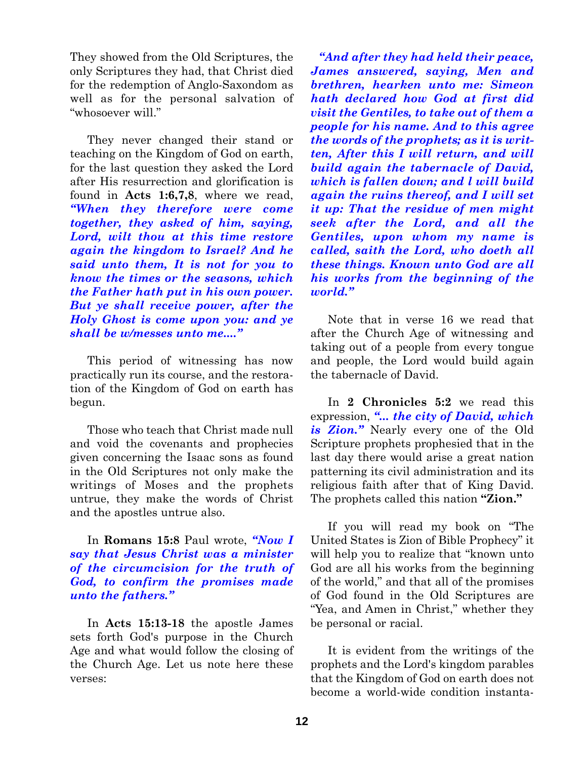They showed from the Old Scriptures, the only Scriptures they had, that Christ died for the redemption of Anglo-Saxondom as well as for the personal salvation of "whosoever will."

They never changed their stand or teaching on the Kingdom of God on earth, for the last question they asked the Lord after His resurrection and glorification is found in **Acts 1:6,7,8**, where we read, *"When they therefore were come together, they asked of him, saying, Lord, wilt thou at this time restore again the kingdom to Israel? And he said unto them, It is not for you to know the times or the seasons, which the Father hath put in his own power. But ye shall receive power, after the Holy Ghost is come upon you: and ye shall be w/messes unto me...."*

This period of witnessing has now practically run its course, and the restoration of the Kingdom of God on earth has begun.

Those who teach that Christ made null and void the covenants and prophecies given concerning the Isaac sons as found in the Old Scriptures not only make the writings of Moses and the prophets untrue, they make the words of Christ and the apostles untrue also.

In **Romans 15:8** Paul wrote, *"Now I say that Jesus Christ was a minister of the circumcision for the truth of God, to confirm the promises made unto the fathers."*

In **Acts 15:13-18** the apostle James sets forth God's purpose in the Church Age and what would follow the closing of the Church Age. Let us note here these verses:

*"And after they had held their peace, James answered, saying, Men and brethren, hearken unto me: Simeon hath declared how God at first did visit the Gentiles, to take out of them a people for his name. And to this agree the words of the prophets; as it is written, After this I will return, and will build again the tabernacle of David, which is fallen down; and l will build again the ruins thereof, and I will set it up: That the residue of men might seek after the Lord, and all the Gentiles, upon whom my name is called, saith the Lord, who doeth all these things. Known unto God are all his works from the beginning of the world."*

Note that in verse 16 we read that after the Church Age of witnessing and taking out of a people from every tongue and people, the Lord would build again the tabernacle of David.

In **2 Chronicles 5:2** we read this expression, *"... the city of David, which is Zion."* Nearly every one of the Old Scripture prophets prophesied that in the last day there would arise a great nation patterning its civil administration and its religious faith after that of King David. The prophets called this nation **"Zion."**

If you will read my book on "The United States is Zion of Bible Prophecy" it will help you to realize that "known unto God are all his works from the beginning of the world," and that all of the promises of God found in the Old Scriptures are "Yea, and Amen in Christ," whether they be personal or racial.

It is evident from the writings of the prophets and the Lord's kingdom parables that the Kingdom of God on earth does not become a world-wide condition instanta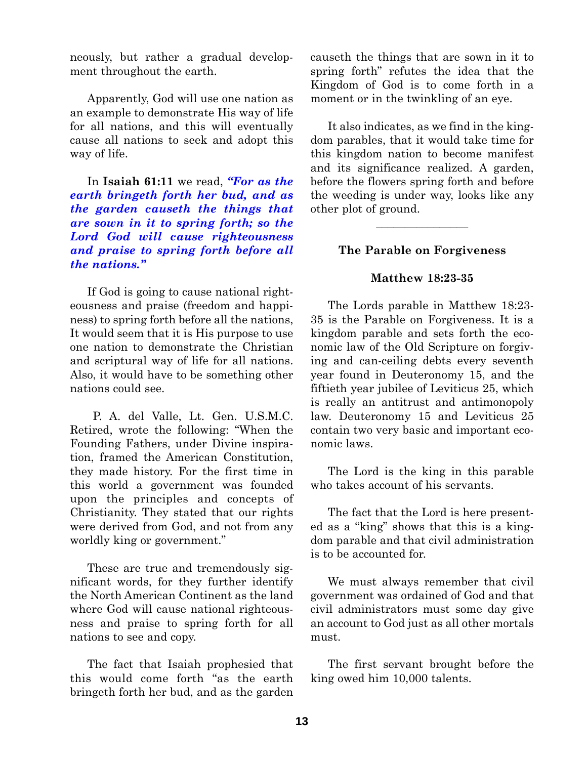neously, but rather a gradual development throughout the earth.

Apparently, God will use one nation as an example to demonstrate His way of life for all nations, and this will eventually cause all nations to seek and adopt this way of life.

In **Isaiah 61:11** we read, *"For as the earth bringeth forth her bud, and as the garden causeth the things that are sown in it to spring forth; so the Lord God will cause righteousness and praise to spring forth before all the nations."*

If God is going to cause national righteousness and praise (freedom and happiness) to spring forth before all the nations, It would seem that it is His purpose to use one nation to demonstrate the Christian and scriptural way of life for all nations. Also, it would have to be something other nations could see.

P. A. del Valle, Lt. Gen. U.S.M.C. Retired, wrote the following: "When the Founding Fathers, under Divine inspiration, framed the American Constitution, they made history. For the first time in this world a government was founded upon the principles and concepts of Christianity. They stated that our rights were derived from God, and not from any worldly king or government."

These are true and tremendously significant words, for they further identify the North American Continent as the land where God will cause national righteousness and praise to spring forth for all nations to see and copy.

The fact that Isaiah prophesied that this would come forth "as the earth bringeth forth her bud, and as the garden

causeth the things that are sown in it to spring forth" refutes the idea that the Kingdom of God is to come forth in a moment or in the twinkling of an eye.

It also indicates, as we find in the kingdom parables, that it would take time for this kingdom nation to become manifest and its significance realized. A garden, before the flowers spring forth and before the weeding is under way, looks like any other plot of ground.

### **The Parable on Forgiveness**

 $\overline{\phantom{a}}$  , where  $\overline{\phantom{a}}$ 

#### **Matthew 18:23-35**

The Lords parable in Matthew 18:23- 35 is the Parable on Forgiveness. It is a kingdom parable and sets forth the economic law of the Old Scripture on forgiving and can-ceiling debts every seventh year found in Deuteronomy 15, and the fiftieth year jubilee of Leviticus 25, which is really an antitrust and antimonopoly law. Deuteronomy 15 and Leviticus 25 contain two very basic and important economic laws.

The Lord is the king in this parable who takes account of his servants.

The fact that the Lord is here presented as a "king" shows that this is a kingdom parable and that civil administration is to be accounted for.

We must always remember that civil government was ordained of God and that civil administrators must some day give an account to God just as all other mortals must.

The first servant brought before the king owed him 10,000 talents.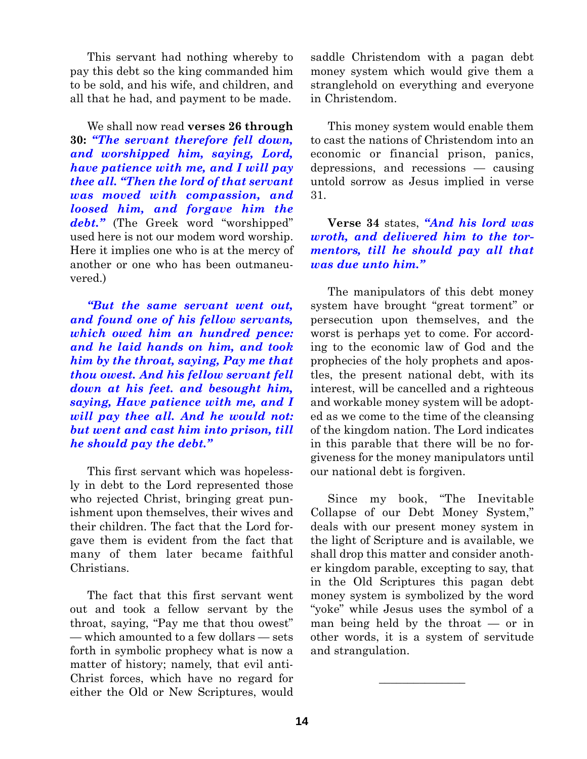This servant had nothing whereby to pay this debt so the king commanded him to be sold, and his wife, and children, and all that he had, and payment to be made.

We shall now read **verses 26 through 30:** *"The servant therefore fell down, and worshipped him, saying, Lord, have patience with me, and I will pay thee all. "Then the lord of that servant was moved with compassion, and loosed him, and forgave him the debt."* (The Greek word "worshipped" used here is not our modem word worship. Here it implies one who is at the mercy of another or one who has been outmaneuvered.)

*"But the same servant went out, and found one of his fellow servants, which owed him an hundred pence: and he laid hands on him, and took him by the throat, saying, Pay me that thou owest. And his fellow servant fell down at his feet. and besought him, saying, Have patience with me, and I will pay thee all. And he would not: but went and cast him into prison, till he should pay the debt."*

This first servant which was hopelessly in debt to the Lord represented those who rejected Christ, bringing great punishment upon themselves, their wives and their children. The fact that the Lord forgave them is evident from the fact that many of them later became faithful Christians.

The fact that this first servant went out and took a fellow servant by the throat, saying, "Pay me that thou owest" — which amounted to a few dollars — sets forth in symbolic prophecy what is now a matter of history; namely, that evil anti-Christ forces, which have no regard for either the Old or New Scriptures, would

saddle Christendom with a pagan debt money system which would give them a stranglehold on everything and everyone in Christendom.

This money system would enable them to cast the nations of Christendom into an economic or financial prison, panics, depressions, and recessions — causing untold sorrow as Jesus implied in verse 31.

**Verse 34** states, *"And his lord was wroth, and delivered him to the tormentors, till he should pay all that was due unto him."*

The manipulators of this debt money system have brought "great torment" or persecution upon themselves, and the worst is perhaps yet to come. For according to the economic law of God and the prophecies of the holy prophets and apostles, the present national debt, with its interest, will be cancelled and a righteous and workable money system will be adopted as we come to the time of the cleansing of the kingdom nation. The Lord indicates in this parable that there will be no forgiveness for the money manipulators until our national debt is forgiven.

Since my book, "The Inevitable Collapse of our Debt Money System," deals with our present money system in the light of Scripture and is available, we shall drop this matter and consider another kingdom parable, excepting to say, that in the Old Scriptures this pagan debt money system is symbolized by the word "yoke" while Jesus uses the symbol of a man being held by the throat — or in other words, it is a system of servitude and strangulation.

 $\overline{\phantom{a}}$  , where  $\overline{\phantom{a}}$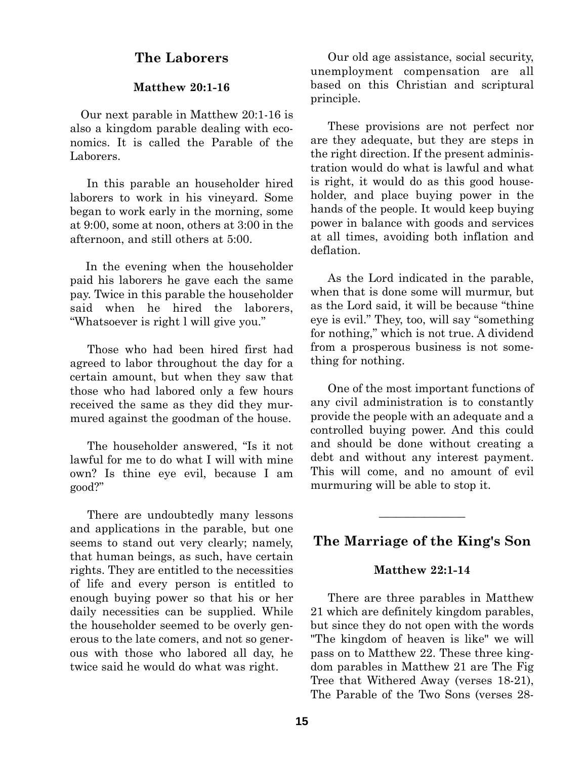# **The Laborers**

## **Matthew 20:1-16**

Our next parable in Matthew 20:1-16 is also a kingdom parable dealing with economics. It is called the Parable of the Laborers.

In this parable an householder hired laborers to work in his vineyard. Some began to work early in the morning, some at 9:00, some at noon, others at 3:00 in the afternoon, and still others at 5:00.

In the evening when the householder paid his laborers he gave each the same pay. Twice in this parable the householder said when he hired the laborers, "Whatsoever is right l will give you."

Those who had been hired first had agreed to labor throughout the day for a certain amount, but when they saw that those who had labored only a few hours received the same as they did they murmured against the goodman of the house.

The householder answered, "Is it not lawful for me to do what I will with mine own? Is thine eye evil, because I am good?"

There are undoubtedly many lessons and applications in the parable, but one seems to stand out very clearly; namely, that human beings, as such, have certain rights. They are entitled to the necessities of life and every person is entitled to enough buying power so that his or her daily necessities can be supplied. While the householder seemed to be overly generous to the late comers, and not so generous with those who labored all day, he twice said he would do what was right.

Our old age assistance, social security, unemployment compensation are all based on this Christian and scriptural principle.

These provisions are not perfect nor are they adequate, but they are steps in the right direction. If the present administration would do what is lawful and what is right, it would do as this good householder, and place buying power in the hands of the people. It would keep buying power in balance with goods and services at all times, avoiding both inflation and deflation.

As the Lord indicated in the parable, when that is done some will murmur, but as the Lord said, it will be because "thine eye is evil." They, too, will say "something for nothing," which is not true. A dividend from a prosperous business is not something for nothing.

One of the most important functions of any civil administration is to constantly provide the people with an adequate and a controlled buying power. And this could and should be done without creating a debt and without any interest payment. This will come, and no amount of evil murmuring will be able to stop it.

## **The Marriage of the King's Son**

 $\overline{\phantom{a}}$ 

#### **Matthew 22:1-14**

There are three parables in Matthew 21 which are definitely kingdom parables, but since they do not open with the words "The kingdom of heaven is like" we will pass on to Matthew 22. These three kingdom parables in Matthew 21 are The Fig Tree that Withered Away (verses 18-21), The Parable of the Two Sons (verses 28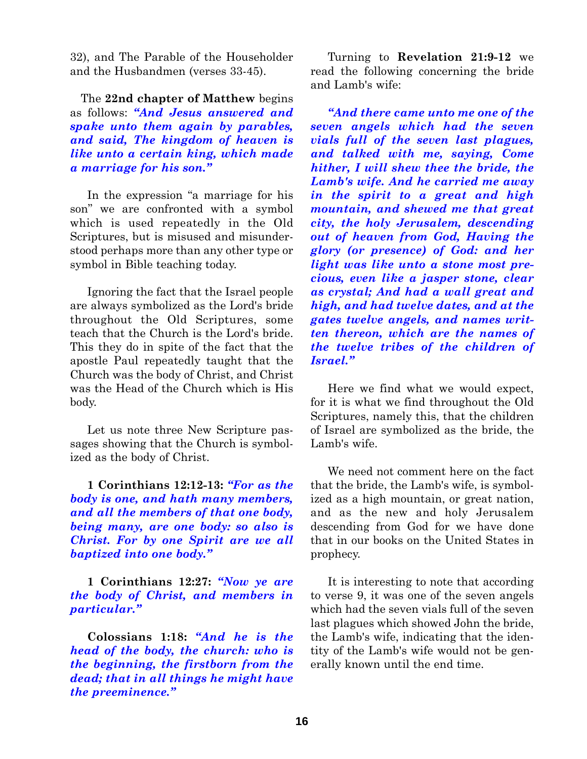32), and The Parable of the Householder and the Husbandmen (verses 33-45).

The **22nd chapter of Matthew** begins as follows: *"And Jesus answered and spake unto them again by parables, and said, The kingdom of heaven is like unto a certain king, which made a marriage for his son."*

In the expression "a marriage for his son" we are confronted with a symbol which is used repeatedly in the Old Scriptures, but is misused and misunderstood perhaps more than any other type or symbol in Bible teaching today.

Ignoring the fact that the Israel people are always symbolized as the Lord's bride throughout the Old Scriptures, some teach that the Church is the Lord's bride. This they do in spite of the fact that the apostle Paul repeatedly taught that the Church was the body of Christ, and Christ was the Head of the Church which is His body.

Let us note three New Scripture passages showing that the Church is symbolized as the body of Christ.

**1 Corinthians 12:12-13:** *"For as the body is one, and hath many members, and all the members of that one body, being many, are one body: so also is Christ. For by one Spirit are we all baptized into one body."*

**1 Corinthians 12:27:** *"Now ye are the body of Christ, and members in particular."*

**Colossians 1:18:** *"And he is the head of the body, the church: who is the beginning, the firstborn from the dead; that in all things he might have the preeminence."*

Turning to **Revelation 21:9-12** we read the following concerning the bride and Lamb's wife:

*"And there came unto me one of the seven angels which had the seven vials full of the seven last plagues, and talked with me, saying, Come hither, I will shew thee the bride, the Lamb's wife. And he carried me away in the spirit to a great and high mountain, and shewed me that great city, the holy Jerusalem, descending out of heaven from God, Having the glory (or presence) of God: and her light was like unto a stone most precious, even like a jasper stone, clear as crystal; And had a wall great and high, and had twelve dates, and at the gates twelve angels, and names written thereon, which are the names of the twelve tribes of the children of Israel."*

Here we find what we would expect, for it is what we find throughout the Old Scriptures, namely this, that the children of Israel are symbolized as the bride, the Lamb's wife.

We need not comment here on the fact that the bride, the Lamb's wife, is symbolized as a high mountain, or great nation, and as the new and holy Jerusalem descending from God for we have done that in our books on the United States in prophecy.

It is interesting to note that according to verse 9, it was one of the seven angels which had the seven vials full of the seven last plagues which showed John the bride, the Lamb's wife, indicating that the identity of the Lamb's wife would not be generally known until the end time.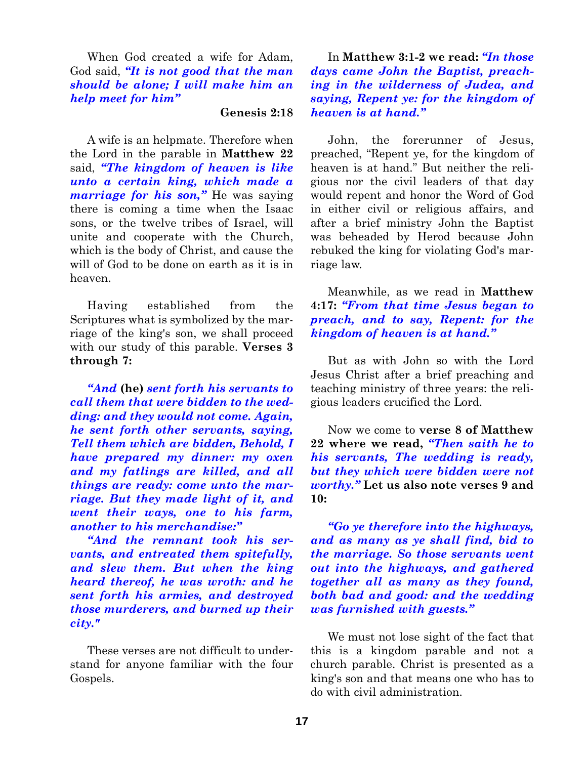When God created a wife for Adam, God said, *"It is not good that the man should be alone; I will make him an help meet for him"*

#### **Genesis 2:18**

A wife is an helpmate. Therefore when the Lord in the parable in **Matthew 22** said, *"The kingdom of heaven is like unto a certain king, which made a marriage for his son,"* He was saying there is coming a time when the Isaac sons, or the twelve tribes of Israel, will unite and cooperate with the Church, which is the body of Christ, and cause the will of God to be done on earth as it is in heaven.

Having established from the Scriptures what is symbolized by the marriage of the king's son, we shall proceed with our study of this parable. **Verses 3 through 7:**

*"And* **(he)** *sent forth his servants to call them that were bidden to the wedding: and they would not come. Again, he sent forth other servants, saying, Tell them which are bidden, Behold, I have prepared my dinner: my oxen and my fatlings are killed, and all things are ready: come unto the marriage. But they made light of it, and went their ways, one to his farm, another to his merchandise:"*

*"And the remnant took his servants, and entreated them spitefully, and slew them. But when the king heard thereof, he was wroth: and he sent forth his armies, and destroyed those murderers, and burned up their city."*

These verses are not difficult to understand for anyone familiar with the four Gospels.

In **Matthew 3:1-2 we read:** *"In those days came John the Baptist, preaching in the wilderness of Judea, and saying, Repent ye: for the kingdom of heaven is at hand."*

John, the forerunner of Jesus, preached, "Repent ye, for the kingdom of heaven is at hand." But neither the religious nor the civil leaders of that day would repent and honor the Word of God in either civil or religious affairs, and after a brief ministry John the Baptist was beheaded by Herod because John rebuked the king for violating God's marriage law.

## Meanwhile, as we read in **Matthew 4:17:** *"From that time Jesus began to preach, and to say, Repent: for the kingdom of heaven is at hand."*

But as with John so with the Lord Jesus Christ after a brief preaching and teaching ministry of three years: the religious leaders crucified the Lord.

Now we come to **verse 8 of Matthew 22 where we read,** *"Then saith he to his servants, The wedding is ready, but they which were bidden were not worthy."* **Let us also note verses 9 and 10:**

*"Go ye therefore into the highways, and as many as ye shall find, bid to the marriage. So those servants went out into the highways, and gathered together all as many as they found, both bad and good: and the wedding was furnished with guests."*

We must not lose sight of the fact that this is a kingdom parable and not a church parable. Christ is presented as a king's son and that means one who has to do with civil administration.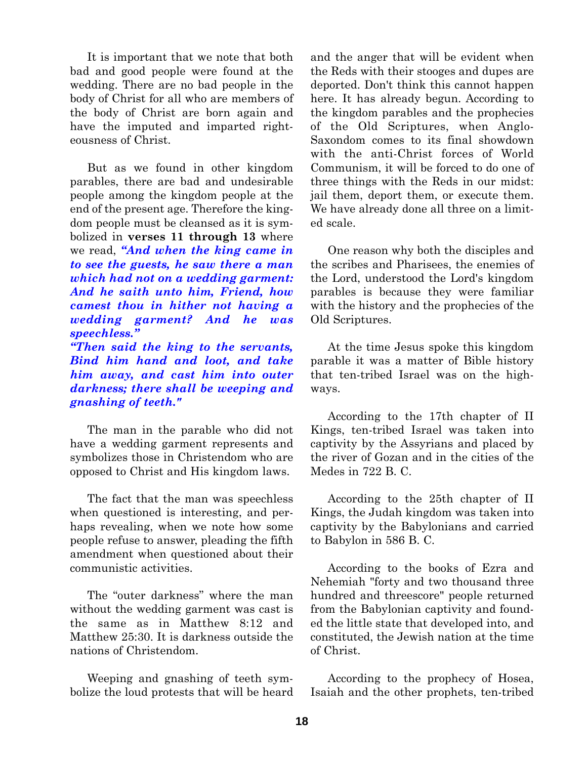It is important that we note that both bad and good people were found at the wedding. There are no bad people in the body of Christ for all who are members of the body of Christ are born again and have the imputed and imparted righteousness of Christ.

But as we found in other kingdom parables, there are bad and undesirable people among the kingdom people at the end of the present age. Therefore the kingdom people must be cleansed as it is symbolized in **verses 11 through 13** where we read, *"And when the king came in to see the guests, he saw there a man which had not on a wedding garment: And he saith unto him, Friend, how camest thou in hither not having a wedding garment? And he was speechless."*

*"Then said the king to the servants, Bind him hand and loot, and take him away, and cast him into outer darkness; there shall be weeping and gnashing of teeth."*

The man in the parable who did not have a wedding garment represents and symbolizes those in Christendom who are opposed to Christ and His kingdom laws.

The fact that the man was speechless when questioned is interesting, and perhaps revealing, when we note how some people refuse to answer, pleading the fifth amendment when questioned about their communistic activities.

The "outer darkness" where the man without the wedding garment was cast is the same as in Matthew 8:12 and Matthew 25:30. It is darkness outside the nations of Christendom.

Weeping and gnashing of teeth symbolize the loud protests that will be heard and the anger that will be evident when the Reds with their stooges and dupes are deported. Don't think this cannot happen here. It has already begun. According to the kingdom parables and the prophecies of the Old Scriptures, when Anglo-Saxondom comes to its final showdown with the anti-Christ forces of World Communism, it will be forced to do one of three things with the Reds in our midst: jail them, deport them, or execute them. We have already done all three on a limited scale.

One reason why both the disciples and the scribes and Pharisees, the enemies of the Lord, understood the Lord's kingdom parables is because they were familiar with the history and the prophecies of the Old Scriptures.

At the time Jesus spoke this kingdom parable it was a matter of Bible history that ten-tribed Israel was on the highways.

According to the 17th chapter of II Kings, ten-tribed Israel was taken into captivity by the Assyrians and placed by the river of Gozan and in the cities of the Medes in 722 B. C.

According to the 25th chapter of II Kings, the Judah kingdom was taken into captivity by the Babylonians and carried to Babylon in 586 B. C.

According to the books of Ezra and Nehemiah "forty and two thousand three hundred and threescore" people returned from the Babylonian captivity and founded the little state that developed into, and constituted, the Jewish nation at the time of Christ.

According to the prophecy of Hosea, Isaiah and the other prophets, ten-tribed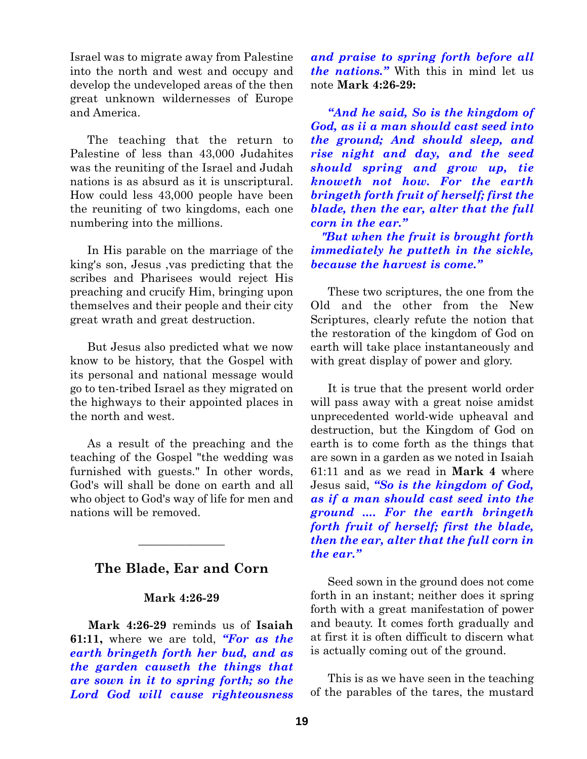Israel was to migrate away from Palestine into the north and west and occupy and develop the undeveloped areas of the then great unknown wildernesses of Europe and America.

The teaching that the return to Palestine of less than 43,000 Judahites was the reuniting of the Israel and Judah nations is as absurd as it is unscriptural. How could less 43,000 people have been the reuniting of two kingdoms, each one numbering into the millions.

In His parable on the marriage of the king's son, Jesus ,vas predicting that the scribes and Pharisees would reject His preaching and crucify Him, bringing upon themselves and their people and their city great wrath and great destruction.

But Jesus also predicted what we now know to be history, that the Gospel with its personal and national message would go to ten-tribed Israel as they migrated on the highways to their appointed places in the north and west.

As a result of the preaching and the teaching of the Gospel "the wedding was furnished with guests." In other words, God's will shall be done on earth and all who object to God's way of life for men and nations will be removed.

# **The Blade, Ear and Corn**

 $\overline{\phantom{a}}$  , where  $\overline{\phantom{a}}$ 

#### **Mark 4:26-29**

**Mark 4:26-29** reminds us of **Isaiah 61:11,** where we are told, *"For as the earth bringeth forth her bud, and as the garden causeth the things that are sown in it to spring forth; so the Lord God will cause righteousness* *and praise to spring forth before all the nations."* With this in mind let us note **Mark 4:26-29:**

*"And he said, So is the kingdom of God, as ii a man should cast seed into the ground; And should sleep, and rise night and day, and the seed should spring and grow up, tie knoweth not how. For the earth bringeth forth fruit of herself; first the blade, then the ear, alter that the full corn in the ear."*

*"But when the fruit is brought forth immediately he putteth in the sickle, because the harvest is come."*

These two scriptures, the one from the Old and the other from the New Scriptures, clearly refute the notion that the restoration of the kingdom of God on earth will take place instantaneously and with great display of power and glory.

It is true that the present world order will pass away with a great noise amidst unprecedented world-wide upheaval and destruction, but the Kingdom of God on earth is to come forth as the things that are sown in a garden as we noted in Isaiah 61:11 and as we read in **Mark 4** where Jesus said, *"So is the kingdom of God, as if a man should cast seed into the ground .... For the earth bringeth forth fruit of herself; first the blade, then the ear, alter that the full corn in the ear."*

Seed sown in the ground does not come forth in an instant; neither does it spring forth with a great manifestation of power and beauty. It comes forth gradually and at first it is often difficult to discern what is actually coming out of the ground.

This is as we have seen in the teaching of the parables of the tares, the mustard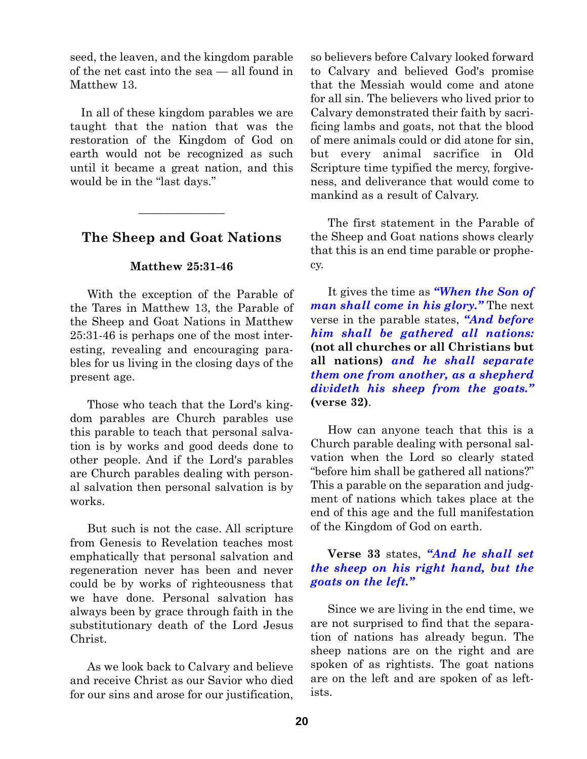seed, the leaven, and the kingdom parable of the net cast into the sea — all found in Matthew 13.

In all of these kingdom parables we are taught that the nation that was the restoration of the Kingdom of God on earth would not be recognized as such until it became a great nation, and this would be in the "last days."

# **The Sheep and Goat Nations**

 $\overline{\phantom{a}}$  , where  $\overline{\phantom{a}}$ 

### **Matthew 25:31-46**

With the exception of the Parable of the Tares in Matthew 13, the Parable of the Sheep and Goat Nations in Matthew 25:31-46 is perhaps one of the most interesting, revealing and encouraging parables for us living in the closing days of the present age.

Those who teach that the Lord's kingdom parables are Church parables use this parable to teach that personal salvation is by works and good deeds done to other people. And if the Lord's parables are Church parables dealing with personal salvation then personal salvation is by works.

But such is not the case. All scripture from Genesis to Revelation teaches most emphatically that personal salvation and regeneration never has been and never could be by works of righteousness that we have done. Personal salvation has always been by grace through faith in the substitutionary death of the Lord Jesus Christ.

As we look back to Calvary and believe and receive Christ as our Savior who died for our sins and arose for our justification,

so believers before Calvary looked forward to Calvary and believed God's promise that the Messiah would come and atone for all sin. The believers who lived prior to Calvary demonstrated their faith by sacrificing lambs and goats, not that the blood of mere animals could or did atone for sin, but every animal sacrifice in Old Scripture time typified the mercy, forgiveness, and deliverance that would come to mankind as a result of Calvary.

The first statement in the Parable of the Sheep and Goat nations shows clearly that this is an end time parable or prophecy.

It gives the time as *"When the Son of man shall come in his glory."* The next verse in the parable states, *"And before him shall be gathered all nations:* **(not all churches or all Christians but all nations)** *and he shall separate them one from another, as a shepherd divideth his sheep from the goats."* **(verse 32)**.

How can anyone teach that this is a Church parable dealing with personal salvation when the Lord so clearly stated "before him shall be gathered all nations?" This a parable on the separation and judgment of nations which takes place at the end of this age and the full manifestation of the Kingdom of God on earth.

# **Verse 33** states, *"And he shall set the sheep on his right hand, but the goats on the left."*

Since we are living in the end time, we are not surprised to find that the separation of nations has already begun. The sheep nations are on the right and are spoken of as rightists. The goat nations are on the left and are spoken of as leftists.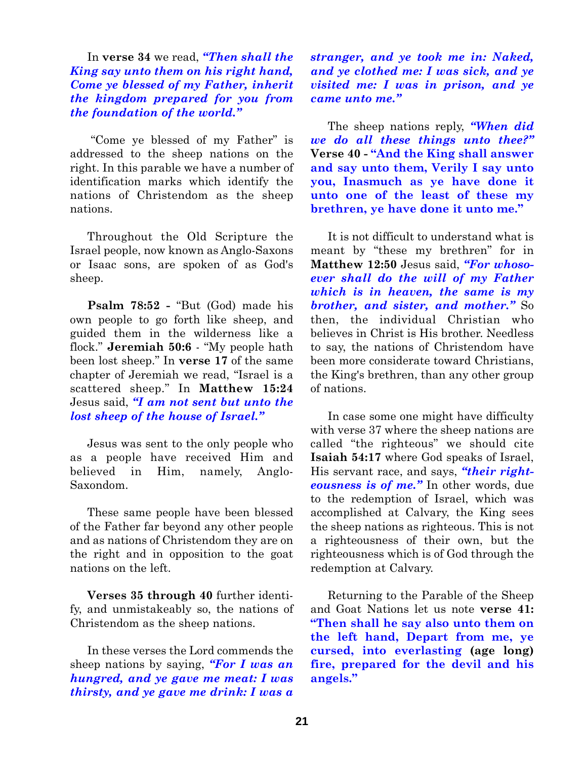In **verse 34** we read, *"Then shall the King say unto them on his right hand, Come ye blessed of my Father, inherit the kingdom prepared for you from the foundation of the world."*

"Come ye blessed of my Father" is addressed to the sheep nations on the right. In this parable we have a number of identification marks which identify the nations of Christendom as the sheep nations.

Throughout the Old Scripture the Israel people, now known as Anglo-Saxons or Isaac sons, are spoken of as God's sheep.

**Psalm 78:52 -** "But (God) made his own people to go forth like sheep, and guided them in the wilderness like a flock." **Jeremiah 50:6** - "My people hath been lost sheep." In **verse 17** of the same chapter of Jeremiah we read, "Israel is a scattered sheep." In **Matthew 15:24** Jesus said, *"I am not sent but unto the lost sheep of the house of Israel."*

Jesus was sent to the only people who as a people have received Him and believed in Him, namely, Anglo-Saxondom.

These same people have been blessed of the Father far beyond any other people and as nations of Christendom they are on the right and in opposition to the goat nations on the left.

**Verses 35 through 40** further identify, and unmistakeably so, the nations of Christendom as the sheep nations.

In these verses the Lord commends the sheep nations by saying, *"For I was an hungred, and ye gave me meat: I was thirsty, and ye gave me drink: I was a* *stranger, and ye took me in: Naked, and ye clothed me: I was sick, and ye visited me: I was in prison, and ye came unto me."*

The sheep nations reply, *"When did we do all these things unto thee?"* **Verse 40 - "And the King shall answer and say unto them, Verily I say unto you, Inasmuch as ye have done it unto one of the least of these my brethren, ye have done it unto me."**

It is not difficult to understand what is meant by "these my brethren" for in **Matthew 12:50** Jesus said, *"For whosoever shall do the will of my Father which is in heaven, the same is my brother, and sister, and mother."* So then, the individual Christian who believes in Christ is His brother. Needless to say, the nations of Christendom have been more considerate toward Christians, the King's brethren, than any other group of nations.

In case some one might have difficulty with verse 37 where the sheep nations are called "the righteous" we should cite **Isaiah 54:17** where God speaks of Israel, His servant race, and says, *"their righteousness is of me."* In other words, due to the redemption of Israel, which was accomplished at Calvary, the King sees the sheep nations as righteous. This is not a righteousness of their own, but the righteousness which is of God through the redemption at Calvary.

Returning to the Parable of the Sheep and Goat Nations let us note **verse 41: "Then shall he say also unto them on the left hand, Depart from me, ye cursed, into everlasting (age long) fire, prepared for the devil and his angels."**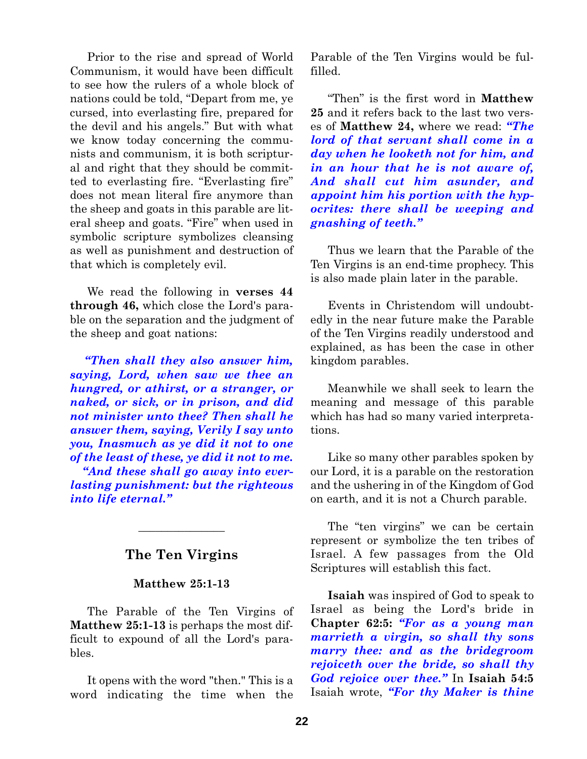Prior to the rise and spread of World Communism, it would have been difficult to see how the rulers of a whole block of nations could be told, "Depart from me, ye cursed, into everlasting fire, prepared for the devil and his angels." But with what we know today concerning the communists and communism, it is both scriptural and right that they should be committed to everlasting fire. "Everlasting fire" does not mean literal fire anymore than the sheep and goats in this parable are literal sheep and goats. "Fire" when used in symbolic scripture symbolizes cleansing as well as punishment and destruction of that which is completely evil.

We read the following in **verses 44 through 46,** which close the Lord's parable on the separation and the judgment of the sheep and goat nations:

*"Then shall they also answer him, saying, Lord, when saw we thee an hungred, or athirst, or a stranger, or naked, or sick, or in prison, and did not minister unto thee? Then shall he answer them, saying, Verily I say unto you, Inasmuch as ye did it not to one of the least of these, ye did it not to me.*

*"And these shall go away into everlasting punishment: but the righteous into life eternal."*

# **The Ten Virgins**

 $\overline{\phantom{a}}$  , where  $\overline{\phantom{a}}$ 

#### **Matthew 25:1-13**

The Parable of the Ten Virgins of **Matthew 25:1-13** is perhaps the most difficult to expound of all the Lord's parables.

It opens with the word "then." This is a word indicating the time when the

Parable of the Ten Virgins would be fulfilled.

"Then" is the first word in **Matthew 25** and it refers back to the last two verses of **Matthew 24,** where we read: *"The lord of that servant shall come in a day when he looketh not for him, and in an hour that he is not aware of, And shall cut him asunder, and appoint him his portion with the hypocrites: there shall be weeping and gnashing of teeth."*

Thus we learn that the Parable of the Ten Virgins is an end-time prophecy. This is also made plain later in the parable.

Events in Christendom will undoubtedly in the near future make the Parable of the Ten Virgins readily understood and explained, as has been the case in other kingdom parables.

Meanwhile we shall seek to learn the meaning and message of this parable which has had so many varied interpretations.

Like so many other parables spoken by our Lord, it is a parable on the restoration and the ushering in of the Kingdom of God on earth, and it is not a Church parable.

The "ten virgins" we can be certain represent or symbolize the ten tribes of Israel. A few passages from the Old Scriptures will establish this fact.

**Isaiah** was inspired of God to speak to Israel as being the Lord's bride in **Chapter 62:5:** *"For as a young man marrieth a virgin, so shall thy sons marry thee: and as the bridegroom rejoiceth over the bride, so shall thy God rejoice over thee."* In **Isaiah 54:5** Isaiah wrote, *"For thy Maker is thine*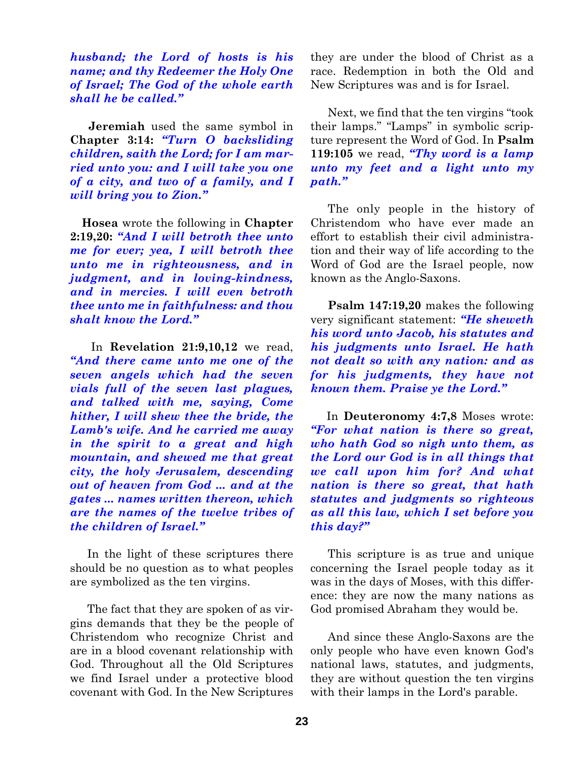*husband; the Lord of hosts is his name; and thy Redeemer the Holy One of Israel; The God of the whole earth shall he be called."*

**Jeremiah** used the same symbol in **Chapter 3:14:** *"Turn O backsliding children, saith the Lord; for I am married unto you: and I will take you one of a city, and two of a family, and I will bring you to Zion."*

**Hosea** wrote the following in **Chapter 2:19,20:** *"And I will betroth thee unto me for ever; yea, I will betroth thee unto me in righteousness, and in judgment, and in loving-kindness, and in mercies. I will even betroth thee unto me in faithfulness: and thou shalt know the Lord."*

In **Revelation 21:9,10,12** we read, *"And there came unto me one of the seven angels which had the seven vials full of the seven last plagues, and talked with me, saying, Come hither, I will shew thee the bride, the Lamb's wife. And he carried me away in the spirit to a great and high mountain, and shewed me that great city, the holy Jerusalem, descending out of heaven from God ... and at the gates ... names written thereon, which are the names of the twelve tribes of the children of Israel."*

In the light of these scriptures there should be no question as to what peoples are symbolized as the ten virgins.

The fact that they are spoken of as virgins demands that they be the people of Christendom who recognize Christ and are in a blood covenant relationship with God. Throughout all the Old Scriptures we find Israel under a protective blood covenant with God. In the New Scriptures

they are under the blood of Christ as a race. Redemption in both the Old and New Scriptures was and is for Israel.

Next, we find that the ten virgins "took their lamps." "Lamps" in symbolic scripture represent the Word of God. In **Psalm 119:105** we read, *"Thy word is a lamp unto my feet and a light unto my path."*

The only people in the history of Christendom who have ever made an effort to establish their civil administration and their way of life according to the Word of God are the Israel people, now known as the Anglo-Saxons.

**Psalm 147:19,20** makes the following very significant statement: *"He sheweth his word unto Jacob, his statutes and his judgments unto Israel. He hath not dealt so with any nation: and as for his judgments, they have not known them. Praise ye the Lord."*

In **Deuteronomy 4:7,8** Moses wrote: *"For what nation is there so great, who hath God so nigh unto them, as the Lord our God is in all things that we call upon him for? And what nation is there so great, that hath statutes and judgments so righteous as all this law, which I set before you this day?"*

This scripture is as true and unique concerning the Israel people today as it was in the days of Moses, with this difference: they are now the many nations as God promised Abraham they would be.

And since these Anglo-Saxons are the only people who have even known God's national laws, statutes, and judgments, they are without question the ten virgins with their lamps in the Lord's parable.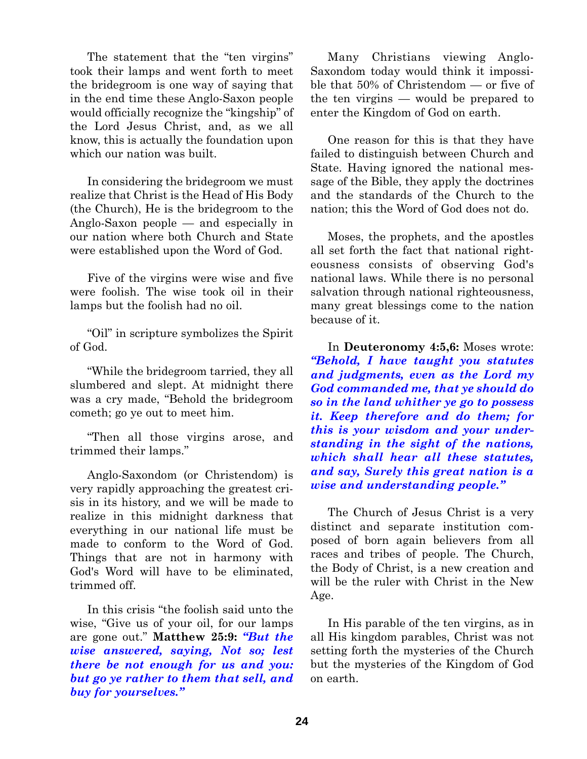The statement that the "ten virgins" took their lamps and went forth to meet the bridegroom is one way of saying that in the end time these Anglo-Saxon people would officially recognize the "kingship" of the Lord Jesus Christ, and, as we all know, this is actually the foundation upon which our nation was built.

In considering the bridegroom we must realize that Christ is the Head of His Body (the Church), He is the bridegroom to the Anglo-Saxon people — and especially in our nation where both Church and State were established upon the Word of God.

Five of the virgins were wise and five were foolish. The wise took oil in their lamps but the foolish had no oil.

"Oil" in scripture symbolizes the Spirit of God.

"While the bridegroom tarried, they all slumbered and slept. At midnight there was a cry made, "Behold the bridegroom cometh; go ye out to meet him.

"Then all those virgins arose, and trimmed their lamps."

Anglo-Saxondom (or Christendom) is very rapidly approaching the greatest crisis in its history, and we will be made to realize in this midnight darkness that everything in our national life must be made to conform to the Word of God. Things that are not in harmony with God's Word will have to be eliminated, trimmed off.

In this crisis "the foolish said unto the wise, "Give us of your oil, for our lamps are gone out." **Matthew 25:9:** *"But the wise answered, saying, Not so; lest there be not enough for us and you: but go ye rather to them that sell, and buy for yourselves."*

Many Christians viewing Anglo-Saxondom today would think it impossible that 50% of Christendom — or five of the ten virgins — would be prepared to enter the Kingdom of God on earth.

One reason for this is that they have failed to distinguish between Church and State. Having ignored the national message of the Bible, they apply the doctrines and the standards of the Church to the nation; this the Word of God does not do.

Moses, the prophets, and the apostles all set forth the fact that national righteousness consists of observing God's national laws. While there is no personal salvation through national righteousness, many great blessings come to the nation because of it.

In **Deuteronomy 4:5,6:** Moses wrote: *"Behold, I have taught you statutes and judgments, even as the Lord my God commanded me, that ye should do so in the land whither ye go to possess it. Keep therefore and do them; for this is your wisdom and your understanding in the sight of the nations, which shall hear all these statutes, and say, Surely this great nation is a wise and understanding people."*

The Church of Jesus Christ is a very distinct and separate institution composed of born again believers from all races and tribes of people. The Church, the Body of Christ, is a new creation and will be the ruler with Christ in the New Age.

In His parable of the ten virgins, as in all His kingdom parables, Christ was not setting forth the mysteries of the Church but the mysteries of the Kingdom of God on earth.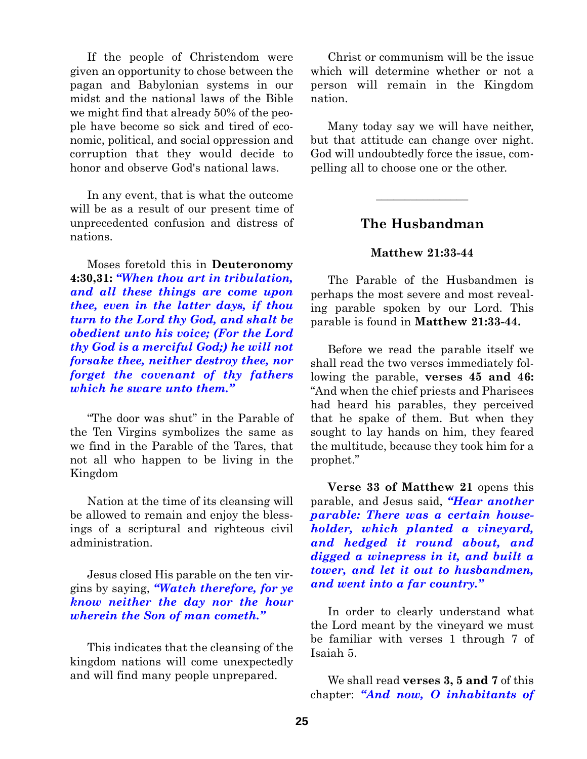If the people of Christendom were given an opportunity to chose between the pagan and Babylonian systems in our midst and the national laws of the Bible we might find that already 50% of the people have become so sick and tired of economic, political, and social oppression and corruption that they would decide to honor and observe God's national laws.

In any event, that is what the outcome will be as a result of our present time of unprecedented confusion and distress of nations.

Moses foretold this in **Deuteronomy 4:30,31:** *"When thou art in tribulation, and all these things are come upon thee, even in the latter days, if thou turn to the Lord thy God, and shalt be obedient unto his voice; (For the Lord thy God is a merciful God;) he will not forsake thee, neither destroy thee, nor forget the covenant of thy fathers which he sware unto them."*

"The door was shut" in the Parable of the Ten Virgins symbolizes the same as we find in the Parable of the Tares, that not all who happen to be living in the Kingdom

Nation at the time of its cleansing will be allowed to remain and enjoy the blessings of a scriptural and righteous civil administration.

Jesus closed His parable on the ten virgins by saying, *"Watch therefore, for ye know neither the day nor the hour wherein the Son of man cometh."*

This indicates that the cleansing of the kingdom nations will come unexpectedly and will find many people unprepared.

Christ or communism will be the issue which will determine whether or not a person will remain in the Kingdom nation.

Many today say we will have neither, but that attitude can change over night. God will undoubtedly force the issue, compelling all to choose one or the other.

# **The Husbandman**

 $\overline{\phantom{a}}$  , where  $\overline{\phantom{a}}$ 

## **Matthew 21:33-44**

The Parable of the Husbandmen is perhaps the most severe and most revealing parable spoken by our Lord. This parable is found in **Matthew 21:33-44.**

Before we read the parable itself we shall read the two verses immediately following the parable, **verses 45 and 46:** "And when the chief priests and Pharisees had heard his parables, they perceived that he spake of them. But when they sought to lay hands on him, they feared the multitude, because they took him for a prophet."

**Verse 33 of Matthew 21** opens this parable, and Jesus said, *"Hear another parable: There was a certain householder, which planted a vineyard, and hedged it round about, and digged a winepress in it, and built a tower, and let it out to husbandmen, and went into a far country."*

In order to clearly understand what the Lord meant by the vineyard we must be familiar with verses 1 through 7 of Isaiah 5.

We shall read **verses 3, 5 and 7** of this chapter: *"And now, O inhabitants of*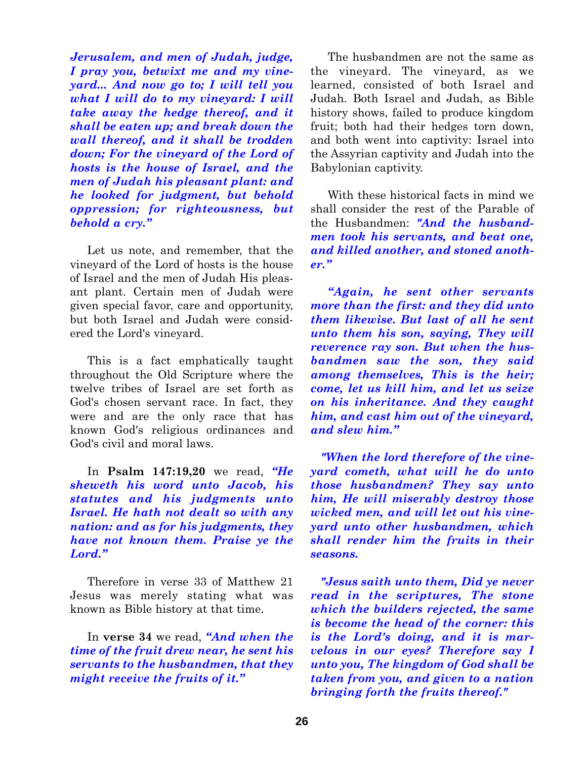*Jerusalem, and men of Judah, judge, I pray you, betwixt me and my vineyard... And now go to; I will tell you what I will do to my vineyard: I will take away the hedge thereof, and it shall be eaten up; and break down the wall thereof, and it shall be trodden down; For the vineyard of the Lord of hosts is the house of Israel, and the men of Judah his pleasant plant: and he looked for judgment, but behold oppression; for righteousness, but behold a cry."*

Let us note, and remember, that the vineyard of the Lord of hosts is the house of Israel and the men of Judah His pleasant plant. Certain men of Judah were given special favor, care and opportunity, but both Israel and Judah were considered the Lord's vineyard.

This is a fact emphatically taught throughout the Old Scripture where the twelve tribes of Israel are set forth as God's chosen servant race. In fact, they were and are the only race that has known God's religious ordinances and God's civil and moral laws.

In **Psalm 147:19,20** we read, *"He sheweth his word unto Jacob, his statutes and his judgments unto Israel. He hath not dealt so with any nation: and as for his judgments, they have not known them. Praise ye the Lord."*

Therefore in verse 33 of Matthew 21 Jesus was merely stating what was known as Bible history at that time.

In **verse 34** we read, *"And when the time of the fruit drew near, he sent his servants to the husbandmen, that they might receive the fruits of it."*

The husbandmen are not the same as the vineyard. The vineyard, as we learned, consisted of both Israel and Judah. Both Israel and Judah, as Bible history shows, failed to produce kingdom fruit; both had their hedges torn down, and both went into captivity: Israel into the Assyrian captivity and Judah into the Babylonian captivity.

With these historical facts in mind we shall consider the rest of the Parable of the Husbandmen: *"And the husbandmen took his servants, and beat one, and killed another, and stoned another."*

*"Again, he sent other servants more than the first: and they did unto them likewise. But last of all he sent unto them his son, saying, They will reverence ray son. But when the husbandmen saw the son, they said among themselves, This is the heir; come, let us kill him, and let us seize on his inheritance. And they caught him, and cast him out of the vineyard, and slew him."*

*"When the lord therefore of the vineyard cometh, what will he do unto those husbandmen? They say unto him, He will miserably destroy those wicked men, and will let out his vineyard unto other husbandmen, which shall render him the fruits in their seasons.*

*"Jesus saith unto them, Did ye never read in the scriptures, The stone which the builders rejected, the same is become the head of the corner: this is the Lord's doing, and it is marvelous in our eyes? Therefore say I unto you, The kingdom of God shall be taken from you, and given to a nation bringing forth the fruits thereof."*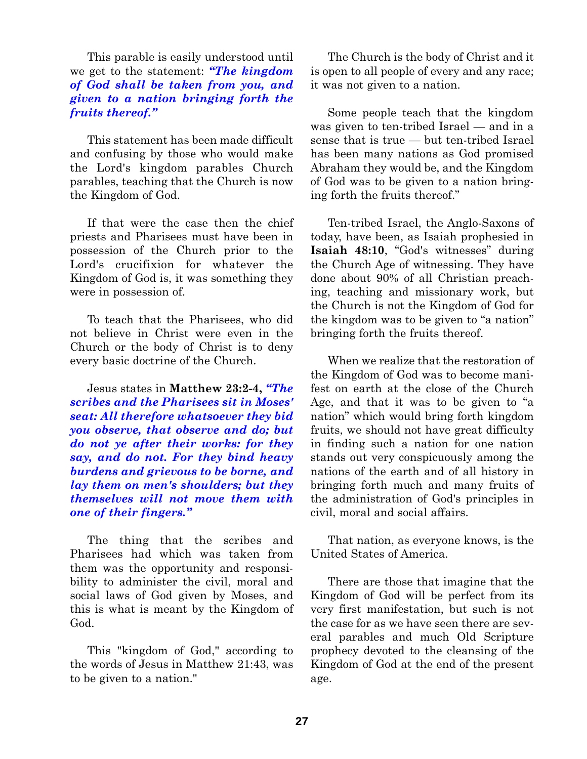This parable is easily understood until we get to the statement: *"The kingdom of God shall be taken from you, and given to a nation bringing forth the fruits thereof."*

This statement has been made difficult and confusing by those who would make the Lord's kingdom parables Church parables, teaching that the Church is now the Kingdom of God.

If that were the case then the chief priests and Pharisees must have been in possession of the Church prior to the Lord's crucifixion for whatever the Kingdom of God is, it was something they were in possession of.

To teach that the Pharisees, who did not believe in Christ were even in the Church or the body of Christ is to deny every basic doctrine of the Church.

Jesus states in **Matthew 23:2-4,** *"The scribes and the Pharisees sit in Moses' seat: All therefore whatsoever they bid you observe, that observe and do; but do not ye after their works: for they say, and do not. For they bind heavy burdens and grievous to be borne, and lay them on men's shoulders; but they themselves will not move them with one of their fingers."*

The thing that the scribes and Pharisees had which was taken from them was the opportunity and responsibility to administer the civil, moral and social laws of God given by Moses, and this is what is meant by the Kingdom of God.

This "kingdom of God," according to the words of Jesus in Matthew 21:43, was to be given to a nation."

The Church is the body of Christ and it is open to all people of every and any race; it was not given to a nation.

Some people teach that the kingdom was given to ten-tribed Israel — and in a sense that is true — but ten-tribed Israel has been many nations as God promised Abraham they would be, and the Kingdom of God was to be given to a nation bringing forth the fruits thereof."

Ten-tribed Israel, the Anglo-Saxons of today, have been, as Isaiah prophesied in **Isaiah 48:10**, "God's witnesses" during the Church Age of witnessing. They have done about 90% of all Christian preaching, teaching and missionary work, but the Church is not the Kingdom of God for the kingdom was to be given to "a nation" bringing forth the fruits thereof.

When we realize that the restoration of the Kingdom of God was to become manifest on earth at the close of the Church Age, and that it was to be given to "a nation" which would bring forth kingdom fruits, we should not have great difficulty in finding such a nation for one nation stands out very conspicuously among the nations of the earth and of all history in bringing forth much and many fruits of the administration of God's principles in civil, moral and social affairs.

That nation, as everyone knows, is the United States of America.

There are those that imagine that the Kingdom of God will be perfect from its very first manifestation, but such is not the case for as we have seen there are several parables and much Old Scripture prophecy devoted to the cleansing of the Kingdom of God at the end of the present age.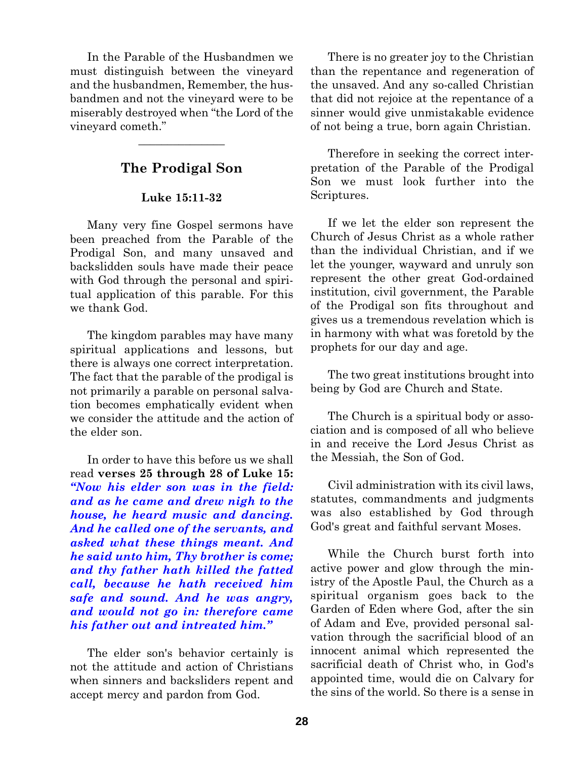In the Parable of the Husbandmen we must distinguish between the vineyard and the husbandmen, Remember, the husbandmen and not the vineyard were to be miserably destroyed when "the Lord of the vineyard cometh."

# **The Prodigal Son**

 $\overline{\phantom{a}}$  , where  $\overline{\phantom{a}}$ 

### **Luke 15:11-32**

Many very fine Gospel sermons have been preached from the Parable of the Prodigal Son, and many unsaved and backslidden souls have made their peace with God through the personal and spiritual application of this parable. For this we thank God.

The kingdom parables may have many spiritual applications and lessons, but there is always one correct interpretation. The fact that the parable of the prodigal is not primarily a parable on personal salvation becomes emphatically evident when we consider the attitude and the action of the elder son.

In order to have this before us we shall read **verses 25 through 28 of Luke 15:** *"Now his elder son was in the field: and as he came and drew nigh to the house, he heard music and dancing. And he called one of the servants, and asked what these things meant. And he said unto him, Thy brother is come; and thy father hath killed the fatted call, because he hath received him safe and sound. And he was angry, and would not go in: therefore came his father out and intreated him."*

The elder son's behavior certainly is not the attitude and action of Christians when sinners and backsliders repent and accept mercy and pardon from God.

There is no greater joy to the Christian than the repentance and regeneration of the unsaved. And any so-called Christian that did not rejoice at the repentance of a sinner would give unmistakable evidence of not being a true, born again Christian.

Therefore in seeking the correct interpretation of the Parable of the Prodigal Son we must look further into the Scriptures.

If we let the elder son represent the Church of Jesus Christ as a whole rather than the individual Christian, and if we let the younger, wayward and unruly son represent the other great God-ordained institution, civil government, the Parable of the Prodigal son fits throughout and gives us a tremendous revelation which is in harmony with what was foretold by the prophets for our day and age.

The two great institutions brought into being by God are Church and State.

The Church is a spiritual body or association and is composed of all who believe in and receive the Lord Jesus Christ as the Messiah, the Son of God.

Civil administration with its civil laws, statutes, commandments and judgments was also established by God through God's great and faithful servant Moses.

While the Church burst forth into active power and glow through the ministry of the Apostle Paul, the Church as a spiritual organism goes back to the Garden of Eden where God, after the sin of Adam and Eve, provided personal salvation through the sacrificial blood of an innocent animal which represented the sacrificial death of Christ who, in God's appointed time, would die on Calvary for the sins of the world. So there is a sense in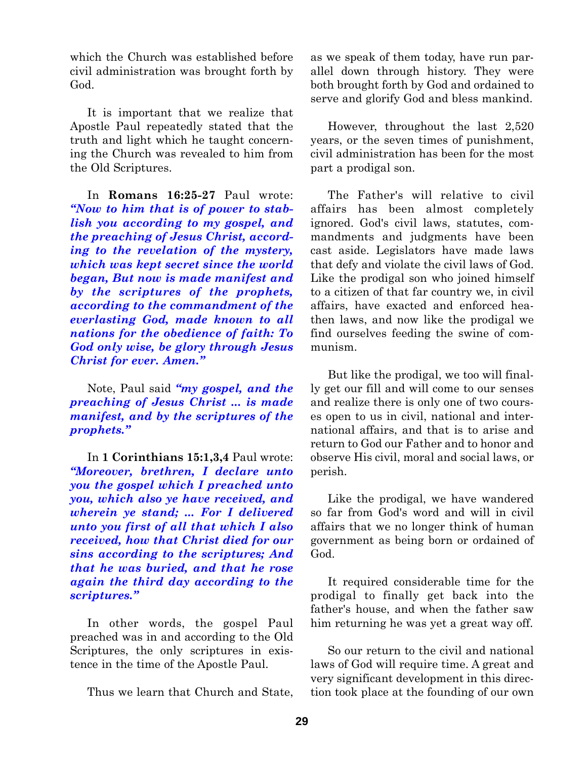which the Church was established before civil administration was brought forth by God.

It is important that we realize that Apostle Paul repeatedly stated that the truth and light which he taught concerning the Church was revealed to him from the Old Scriptures.

In **Romans 16:25-27** Paul wrote: *"Now to him that is of power to stablish you according to my gospel, and the preaching of Jesus Christ, according to the revelation of the mystery, which was kept secret since the world began, But now is made manifest and by the scriptures of the prophets, according to the commandment of the everlasting God, made known to all nations for the obedience of faith: To God only wise, be glory through Jesus Christ for ever. Amen."*

Note, Paul said *"my gospel, and the preaching of Jesus Christ ... is made manifest, and by the scriptures of the prophets."*

In **1 Corinthians 15:1,3,4** Paul wrote: *"Moreover, brethren, I declare unto you the gospel which I preached unto you, which also ye have received, and wherein ye stand; ... For I delivered unto you first of all that which I also received, how that Christ died for our sins according to the scriptures; And that he was buried, and that he rose again the third day according to the scriptures."*

In other words, the gospel Paul preached was in and according to the Old Scriptures, the only scriptures in existence in the time of the Apostle Paul.

Thus we learn that Church and State,

as we speak of them today, have run parallel down through history. They were both brought forth by God and ordained to serve and glorify God and bless mankind.

However, throughout the last 2,520 years, or the seven times of punishment, civil administration has been for the most part a prodigal son.

The Father's will relative to civil affairs has been almost completely ignored. God's civil laws, statutes, commandments and judgments have been cast aside. Legislators have made laws that defy and violate the civil laws of God. Like the prodigal son who joined himself to a citizen of that far country we, in civil affairs, have exacted and enforced heathen laws, and now like the prodigal we find ourselves feeding the swine of communism.

But like the prodigal, we too will finally get our fill and will come to our senses and realize there is only one of two courses open to us in civil, national and international affairs, and that is to arise and return to God our Father and to honor and observe His civil, moral and social laws, or perish.

Like the prodigal, we have wandered so far from God's word and will in civil affairs that we no longer think of human government as being born or ordained of God.

It required considerable time for the prodigal to finally get back into the father's house, and when the father saw him returning he was yet a great way off.

So our return to the civil and national laws of God will require time. A great and very significant development in this direction took place at the founding of our own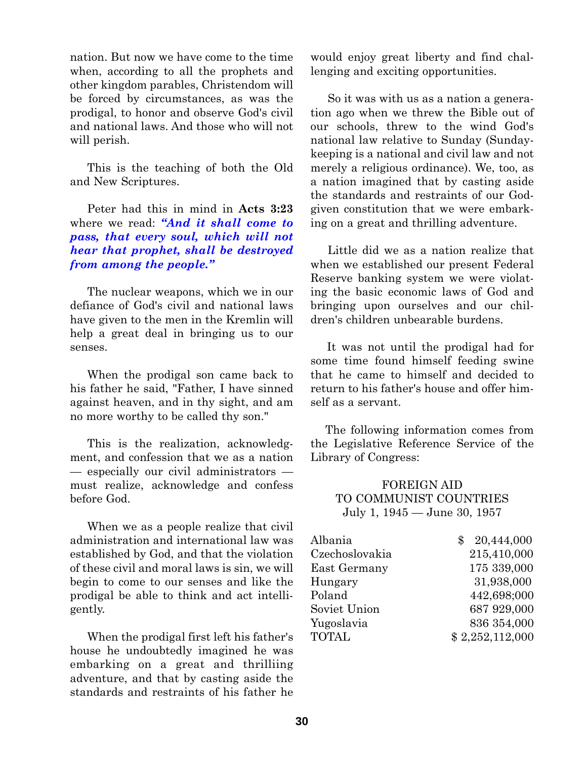nation. But now we have come to the time when, according to all the prophets and other kingdom parables, Christendom will be forced by circumstances, as was the prodigal, to honor and observe God's civil and national laws. And those who will not will perish.

This is the teaching of both the Old and New Scriptures.

Peter had this in mind in **Acts 3:23** where we read: *"And it shall come to pass, that every soul, which will not hear that prophet, shall be destroyed from among the people."*

The nuclear weapons, which we in our defiance of God's civil and national laws have given to the men in the Kremlin will help a great deal in bringing us to our senses.

When the prodigal son came back to his father he said, "Father, I have sinned against heaven, and in thy sight, and am no more worthy to be called thy son."

This is the realization, acknowledgment, and confession that we as a nation — especially our civil administrators must realize, acknowledge and confess before God.

When we as a people realize that civil administration and international law was established by God, and that the violation of these civil and moral laws is sin, we will begin to come to our senses and like the prodigal be able to think and act intelligently.

When the prodigal first left his father's house he undoubtedly imagined he was embarking on a great and thrilliing adventure, and that by casting aside the standards and restraints of his father he

would enjoy great liberty and find challenging and exciting opportunities.

So it was with us as a nation a generation ago when we threw the Bible out of our schools, threw to the wind God's national law relative to Sunday (Sundaykeeping is a national and civil law and not merely a religious ordinance). We, too, as a nation imagined that by casting aside the standards and restraints of our Godgiven constitution that we were embarking on a great and thrilling adventure.

Little did we as a nation realize that when we established our present Federal Reserve banking system we were violating the basic economic laws of God and bringing upon ourselves and our children's children unbearable burdens.

It was not until the prodigal had for some time found himself feeding swine that he came to himself and decided to return to his father's house and offer himself as a servant.

The following information comes from the Legislative Reference Service of the Library of Congress:

## FOREIGN AID TO COMMUNIST COUNTRIES July 1, 1945 — June 30, 1957

| Albania        | 20,444,000      |
|----------------|-----------------|
| Czechoslovakia | 215,410,000     |
| East Germany   | 175 339,000     |
| Hungary        | 31,938,000      |
| Poland         | 442,698;000     |
| Soviet Union   | 687 929,000     |
| Yugoslavia     | 836 354,000     |
| <b>TOTAL</b>   | \$2,252,112,000 |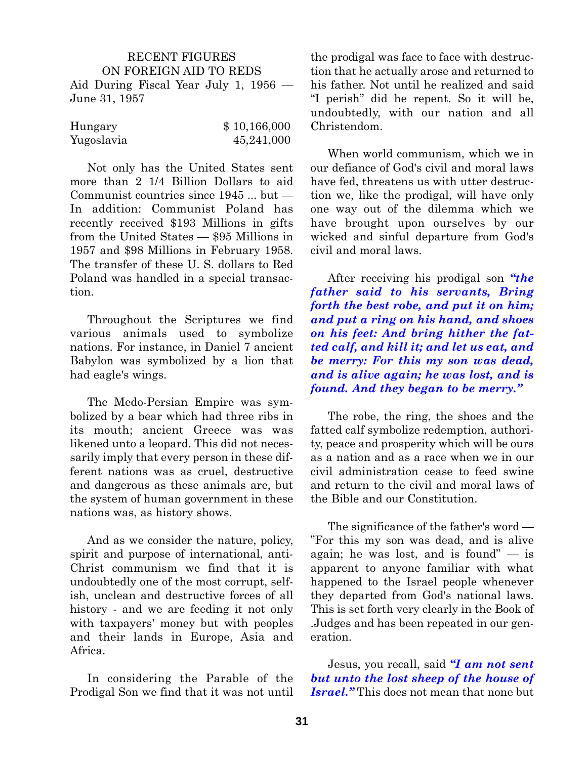## RECENT FIGURES ON FOREIGN AID TO REDS Aid During Fiscal Year July 1, 1956 — June 31, 1957

| Hungary    | \$10,166,000 |
|------------|--------------|
| Yugoslavia | 45,241,000   |

Not only has the United States sent more than 2 1/4 Billion Dollars to aid Communist countries since 1945 ... but — In addition: Communist Poland has recently received \$193 Millions in gifts from the United States — \$95 Millions in 1957 and \$98 Millions in February 1958. The transfer of these U. S. dollars to Red Poland was handled in a special transaction.

Throughout the Scriptures we find various animals used to symbolize nations. For instance, in Daniel 7 ancient Babylon was symbolized by a lion that had eagle's wings.

The Medo-Persian Empire was symbolized by a bear which had three ribs in its mouth; ancient Greece was was likened unto a leopard. This did not necessarily imply that every person in these different nations was as cruel, destructive and dangerous as these animals are, but the system of human government in these nations was, as history shows.

And as we consider the nature, policy, spirit and purpose of international, anti-Christ communism we find that it is undoubtedly one of the most corrupt, selfish, unclean and destructive forces of all history - and we are feeding it not only with taxpayers' money but with peoples and their lands in Europe, Asia and Africa.

In considering the Parable of the Prodigal Son we find that it was not until the prodigal was face to face with destruction that he actually arose and returned to his father. Not until he realized and said "I perish" did he repent. So it will be, undoubtedly, with our nation and all Christendom.

When world communism, which we in our defiance of God's civil and moral laws have fed, threatens us with utter destruction we, like the prodigal, will have only one way out of the dilemma which we have brought upon ourselves by our wicked and sinful departure from God's civil and moral laws.

After receiving his prodigal son *"the father said to his servants, Bring forth the best robe, and put it on him; and put a ring on his hand, and shoes on his feet: And bring hither the fatted calf, and kill it; and let us eat, and be merry: For this my son was dead, and is alive again; he was lost, and is found. And they began to be merry."*

The robe, the ring, the shoes and the fatted calf symbolize redemption, authority, peace and prosperity which will be ours as a nation and as a race when we in our civil administration cease to feed swine and return to the civil and moral laws of the Bible and our Constitution.

The significance of the father's word — "For this my son was dead, and is alive again; he was lost, and is found" — is apparent to anyone familiar with what happened to the Israel people whenever they departed from God's national laws. This is set forth very clearly in the Book of .Judges and has been repeated in our generation.

Jesus, you recall, said *"I am not sent but unto the lost sheep of the house of Israel."* This does not mean that none but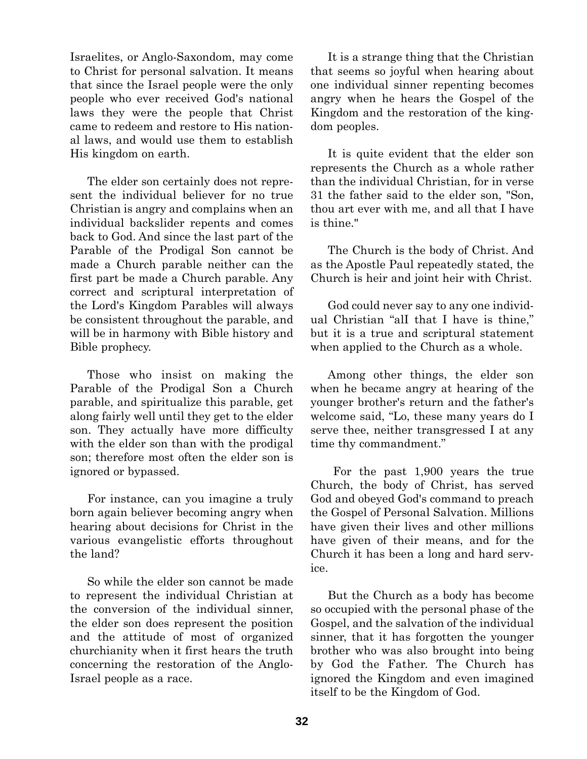Israelites, or Anglo-Saxondom, may come to Christ for personal salvation. It means that since the Israel people were the only people who ever received God's national laws they were the people that Christ came to redeem and restore to His national laws, and would use them to establish His kingdom on earth.

The elder son certainly does not represent the individual believer for no true Christian is angry and complains when an individual backslider repents and comes back to God. And since the last part of the Parable of the Prodigal Son cannot be made a Church parable neither can the first part be made a Church parable. Any correct and scriptural interpretation of the Lord's Kingdom Parables will always be consistent throughout the parable, and will be in harmony with Bible history and Bible prophecy.

Those who insist on making the Parable of the Prodigal Son a Church parable, and spiritualize this parable, get along fairly well until they get to the elder son. They actually have more difficulty with the elder son than with the prodigal son; therefore most often the elder son is ignored or bypassed.

For instance, can you imagine a truly born again believer becoming angry when hearing about decisions for Christ in the various evangelistic efforts throughout the land?

So while the elder son cannot be made to represent the individual Christian at the conversion of the individual sinner, the elder son does represent the position and the attitude of most of organized churchianity when it first hears the truth concerning the restoration of the Anglo-Israel people as a race.

It is a strange thing that the Christian that seems so joyful when hearing about one individual sinner repenting becomes angry when he hears the Gospel of the Kingdom and the restoration of the kingdom peoples.

It is quite evident that the elder son represents the Church as a whole rather than the individual Christian, for in verse 31 the father said to the elder son, "Son, thou art ever with me, and all that I have is thine."

The Church is the body of Christ. And as the Apostle Paul repeatedly stated, the Church is heir and joint heir with Christ.

God could never say to any one individual Christian "alI that I have is thine," but it is a true and scriptural statement when applied to the Church as a whole.

Among other things, the elder son when he became angry at hearing of the younger brother's return and the father's welcome said, "Lo, these many years do I serve thee, neither transgressed I at any time thy commandment."

For the past 1,900 years the true Church, the body of Christ, has served God and obeyed God's command to preach the Gospel of Personal Salvation. Millions have given their lives and other millions have given of their means, and for the Church it has been a long and hard service.

But the Church as a body has become so occupied with the personal phase of the Gospel, and the salvation of the individual sinner, that it has forgotten the younger brother who was also brought into being by God the Father. The Church has ignored the Kingdom and even imagined itself to be the Kingdom of God.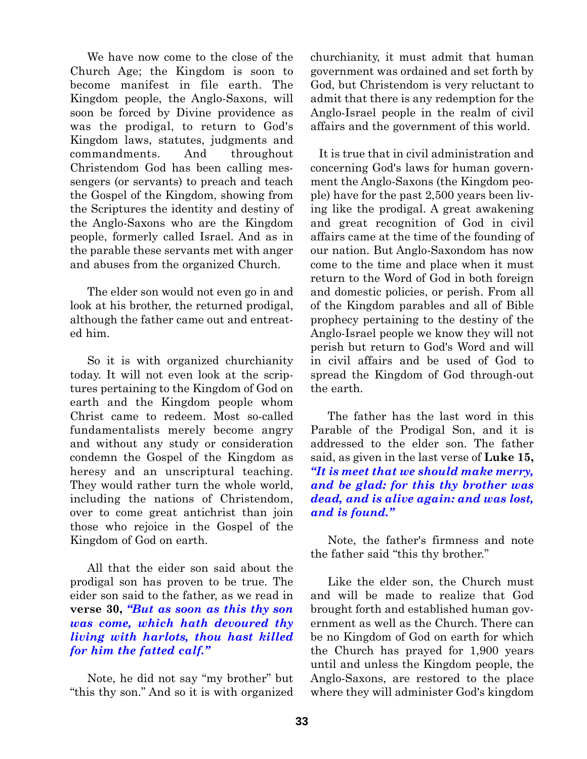We have now come to the close of the Church Age; the Kingdom is soon to become manifest in file earth. The Kingdom people, the Anglo-Saxons, will soon be forced by Divine providence as was the prodigal, to return to God's Kingdom laws, statutes, judgments and commandments. And throughout Christendom God has been calling messengers (or servants) to preach and teach the Gospel of the Kingdom, showing from the Scriptures the identity and destiny of the Anglo-Saxons who are the Kingdom people, formerly called Israel. And as in the parable these servants met with anger and abuses from the organized Church.

The elder son would not even go in and look at his brother, the returned prodigal, although the father came out and entreated him.

So it is with organized churchianity today. It will not even look at the scriptures pertaining to the Kingdom of God on earth and the Kingdom people whom Christ came to redeem. Most so-called fundamentalists merely become angry and without any study or consideration condemn the Gospel of the Kingdom as heresy and an unscriptural teaching. They would rather turn the whole world, including the nations of Christendom, over to come great antichrist than join those who rejoice in the Gospel of the Kingdom of God on earth.

All that the eider son said about the prodigal son has proven to be true. The eider son said to the father, as we read in **verse 30,** *"But as soon as this thy son was come, which hath devoured thy living with harlots, thou hast killed for him the fatted calf."*

Note, he did not say "my brother" but "this thy son." And so it is with organized churchianity, it must admit that human government was ordained and set forth by God, but Christendom is very reluctant to admit that there is any redemption for the Anglo-Israel people in the realm of civil affairs and the government of this world.

It is true that in civil administration and concerning God's laws for human government the Anglo-Saxons (the Kingdom people) have for the past 2,500 years been living like the prodigal. A great awakening and great recognition of God in civil affairs came at the time of the founding of our nation. But Anglo-Saxondom has now come to the time and place when it must return to the Word of God in both foreign and domestic policies, or perish. From all of the Kingdom parables and all of Bible prophecy pertaining to the destiny of the Anglo-Israel people we know they will not perish but return to God's Word and will in civil affairs and be used of God to spread the Kingdom of God through-out the earth.

The father has the last word in this Parable of the Prodigal Son, and it is addressed to the elder son. The father said, as given in the last verse of **Luke 15,** *"It is meet that we should make merry, and be glad: for this thy brother was dead, and is alive again: and was lost, and is found."*

Note, the father's firmness and note the father said "this thy brother."

Like the elder son, the Church must and will be made to realize that God brought forth and established human government as well as the Church. There can be no Kingdom of God on earth for which the Church has prayed for 1,900 years until and unless the Kingdom people, the Anglo-Saxons, are restored to the place where they will administer God's kingdom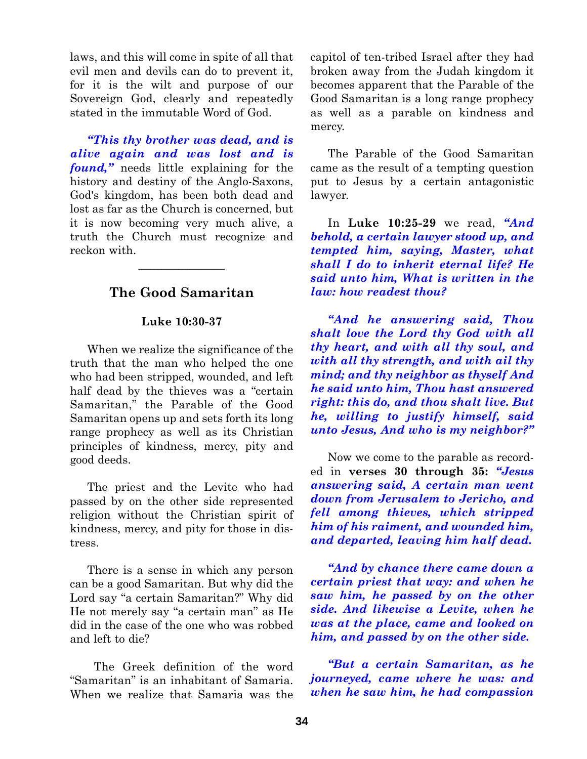laws, and this will come in spite of all that evil men and devils can do to prevent it, for it is the wilt and purpose of our Sovereign God, clearly and repeatedly stated in the immutable Word of God.

*"This thy brother was dead, and is alive again and was lost and is found,"* needs little explaining for the history and destiny of the Anglo-Saxons, God's kingdom, has been both dead and lost as far as the Church is concerned, but it is now becoming very much alive, a truth the Church must recognize and reckon with.

# **The Good Samaritan**

 $\overline{\phantom{a}}$  , where  $\overline{\phantom{a}}$ 

### **Luke 10:30-37**

When we realize the significance of the truth that the man who helped the one who had been stripped, wounded, and left half dead by the thieves was a "certain Samaritan," the Parable of the Good Samaritan opens up and sets forth its long range prophecy as well as its Christian principles of kindness, mercy, pity and good deeds.

The priest and the Levite who had passed by on the other side represented religion without the Christian spirit of kindness, mercy, and pity for those in distress.

There is a sense in which any person can be a good Samaritan. But why did the Lord say "a certain Samaritan?" Why did He not merely say "a certain man" as He did in the case of the one who was robbed and left to die?

The Greek definition of the word "Samaritan" is an inhabitant of Samaria. When we realize that Samaria was the

capitol of ten-tribed Israel after they had broken away from the Judah kingdom it becomes apparent that the Parable of the Good Samaritan is a long range prophecy as well as a parable on kindness and mercy.

The Parable of the Good Samaritan came as the result of a tempting question put to Jesus by a certain antagonistic lawyer.

In **Luke 10:25-29** we read, *"And behold, a certain lawyer stood up, and tempted him, saying, Master, what shall I do to inherit eternal life? He said unto him, What is written in the law: how readest thou?*

*"And he answering said, Thou shalt love the Lord thy God with all thy heart, and with all thy soul, and with all thy strength, and with ail thy mind; and thy neighbor as thyself And he said unto him, Thou hast answered right: this do, and thou shalt live. But he, willing to justify himself, said unto Jesus, And who is my neighbor?"*

Now we come to the parable as recorded in **verses 30 through 35:** *"Jesus answering said, A certain man went down from Jerusalem to Jericho, and fell among thieves, which stripped him of his raiment, and wounded him, and departed, leaving him half dead.*

*"And by chance there came down a certain priest that way: and when he saw him, he passed by on the other side. And likewise a Levite, when he was at the place, came and looked on him, and passed by on the other side.*

*"But a certain Samaritan, as he journeyed, came where he was: and when he saw him, he had compassion*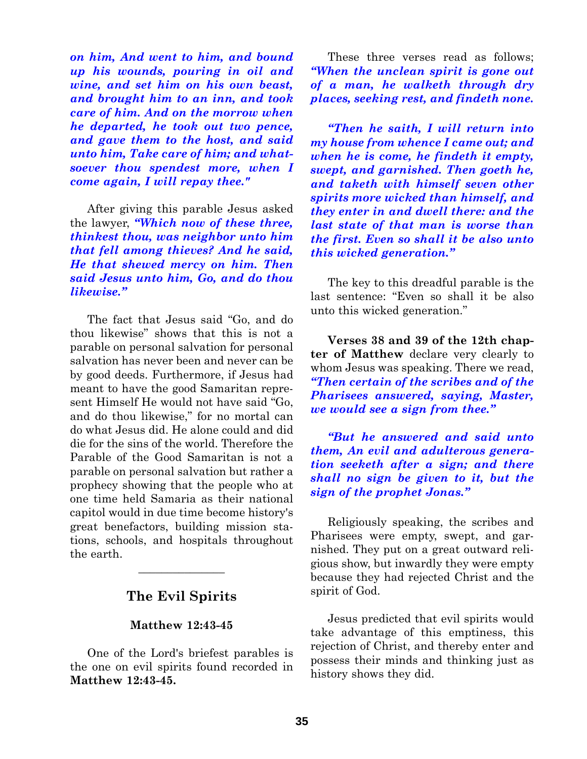*on him, And went to him, and bound up his wounds, pouring in oil and wine, and set him on his own beast, and brought him to an inn, and took care of him. And on the morrow when he departed, he took out two pence, and gave them to the host, and said unto him, Take care of him; and whatsoever thou spendest more, when I come again, I will repay thee."*

After giving this parable Jesus asked the lawyer, *"Which now of these three, thinkest thou, was neighbor unto him that fell among thieves? And he said, He that shewed mercy on him. Then said Jesus unto him, Go, and do thou likewise."*

The fact that Jesus said "Go, and do thou likewise" shows that this is not a parable on personal salvation for personal salvation has never been and never can be by good deeds. Furthermore, if Jesus had meant to have the good Samaritan represent Himself He would not have said "Go, and do thou likewise," for no mortal can do what Jesus did. He alone could and did die for the sins of the world. Therefore the Parable of the Good Samaritan is not a parable on personal salvation but rather a prophecy showing that the people who at one time held Samaria as their national capitol would in due time become history's great benefactors, building mission stations, schools, and hospitals throughout the earth.

# **The Evil Spirits**

 $\overline{\phantom{a}}$  , where  $\overline{\phantom{a}}$ 

#### **Matthew 12:43-45**

One of the Lord's briefest parables is the one on evil spirits found recorded in **Matthew 12:43-45.**

These three verses read as follows; *"When the unclean spirit is gone out of a man, he walketh through dry places, seeking rest, and findeth none.*

*"Then he saith, I will return into my house from whence I came out; and when he is come, he findeth it empty, swept, and garnished. Then goeth he, and taketh with himself seven other spirits more wicked than himself, and they enter in and dwell there: and the last state of that man is worse than the first. Even so shall it be also unto this wicked generation."*

The key to this dreadful parable is the last sentence: "Even so shall it be also unto this wicked generation."

**Verses 38 and 39 of the 12th chapter of Matthew** declare very clearly to whom Jesus was speaking. There we read, *"Then certain of the scribes and of the Pharisees answered, saying, Master, we would see a sign from thee."*

*"But he answered and said unto them, An evil and adulterous generation seeketh after a sign; and there shall no sign be given to it, but the sign of the prophet Jonas."*

Religiously speaking, the scribes and Pharisees were empty, swept, and garnished. They put on a great outward religious show, but inwardly they were empty because they had rejected Christ and the spirit of God.

Jesus predicted that evil spirits would take advantage of this emptiness, this rejection of Christ, and thereby enter and possess their minds and thinking just as history shows they did.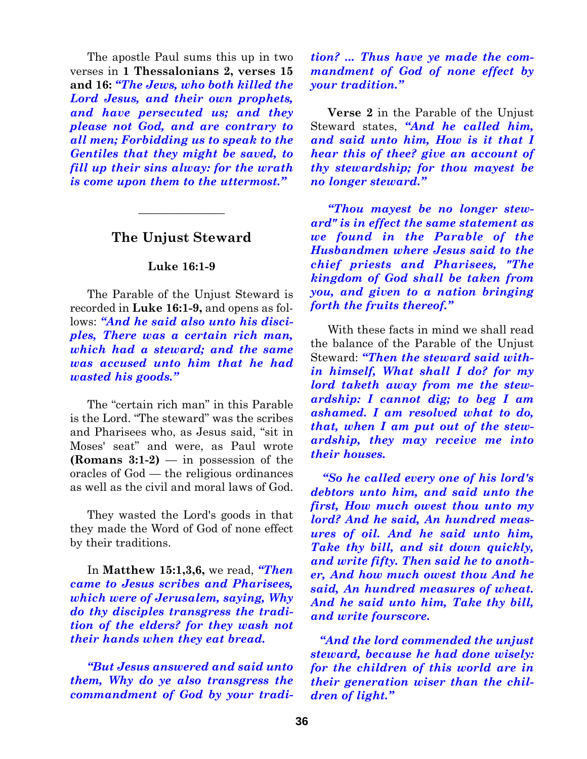The apostle Paul sums this up in two verses in **1 Thessalonians 2, verses 15 and 16:** *"The Jews, who both killed the Lord Jesus, and their own prophets, and have persecuted us; and they please not God, and are contrary to all men; Forbidding us to speak to the Gentiles that they might be saved, to fill up their sins alway: for the wrath is come upon them to the uttermost."*

## **The Unjust Steward**

 $\overline{\phantom{a}}$  , where  $\overline{\phantom{a}}$ 

### **Luke 16:1-9**

The Parable of the Unjust Steward is recorded in **Luke 16:1-9,** and opens as follows: *"And he said also unto his disciples, There was a certain rich man, which had a steward; and the same was accused unto him that he had wasted his goods."*

The "certain rich man" in this Parable is the Lord. "The steward" was the scribes and Pharisees who, as Jesus said, "sit in Moses' seat" and were, as Paul wrote **(Romans 3:1-2)** — in possession of the oracles of God — the religious ordinances as well as the civil and moral laws of God.

They wasted the Lord's goods in that they made the Word of God of none effect by their traditions.

In **Matthew 15:1,3,6,** we read, *"Then came to Jesus scribes and Pharisees, which were of Jerusalem, saying, Why do thy disciples transgress the tradition of the elders? for they wash not their hands when they eat bread.*

*"But Jesus answered and said unto them, Why do ye also transgress the commandment of God by your tradi-*

*tion? ... Thus have ye made the commandment of God of none effect by your tradition."*

**Verse 2** in the Parable of the Unjust Steward states, *"And he called him, and said unto him, How is it that I hear this of thee? give an account of thy stewardship; for thou mayest be no longer steward."*

*"Thou mayest be no longer steward" is in effect the same statement as we found in the Parable of the Husbandmen where Jesus said to the chief priests and Pharisees, "The kingdom of God shall be taken from you, and given to a nation bringing forth the fruits thereof."*

With these facts in mind we shall read the balance of the Parable of the Unjust Steward: *"Then the steward said within himself, What shall I do? for my lord taketh away from me the stewardship: I cannot dig; to beg I am ashamed. I am resolved what to do, that, when I am put out of the stewardship, they may receive me into their houses.*

*"So he called every one of his lord's debtors unto him, and said unto the first, How much owest thou unto my lord? And he said, An hundred measures of oil. And he said unto him, Take thy bill, and sit down quickly, and write fifty. Then said he to another, And how much owest thou And he said, An hundred measures of wheat. And he said unto him, Take thy bill, and write fourscore.*

*"And the lord commended the unjust steward, because he had done wisely: for the children of this world are in their generation wiser than the children of light."*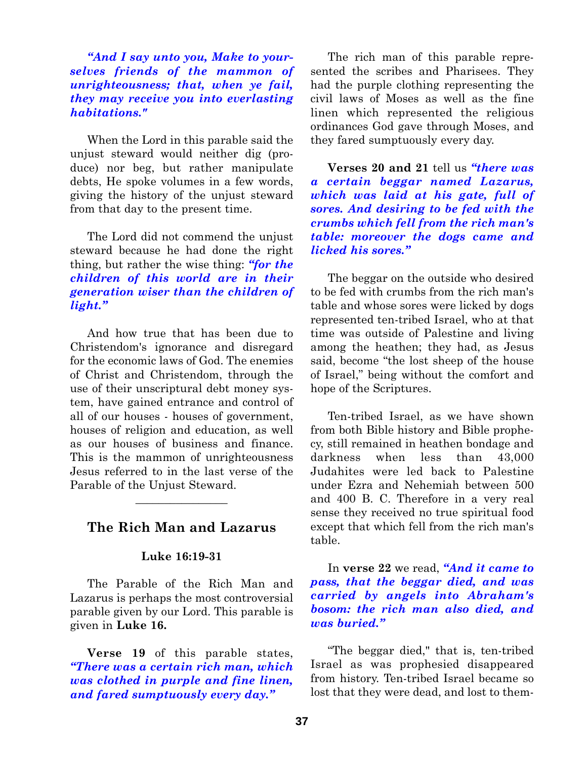*"And I say unto you, Make to yourselves friends of the mammon of unrighteousness; that, when ye fail, they may receive you into everlasting habitations."*

When the Lord in this parable said the unjust steward would neither dig (produce) nor beg, but rather manipulate debts, He spoke volumes in a few words, giving the history of the unjust steward from that day to the present time.

The Lord did not commend the unjust steward because he had done the right thing, but rather the wise thing: *"for the children of this world are in their generation wiser than the children of light."*

And how true that has been due to Christendom's ignorance and disregard for the economic laws of God. The enemies of Christ and Christendom, through the use of their unscriptural debt money system, have gained entrance and control of all of our houses - houses of government, houses of religion and education, as well as our houses of business and finance. This is the mammon of unrighteousness Jesus referred to in the last verse of the Parable of the Unjust Steward.

## **The Rich Man and Lazarus**

 $\overline{\phantom{a}}$  , where  $\overline{\phantom{a}}$ 

#### **Luke 16:19-31**

The Parable of the Rich Man and Lazarus is perhaps the most controversial parable given by our Lord. This parable is given in **Luke 16.**

**Verse 19** of this parable states, *"There was a certain rich man, which was clothed in purple and fine linen, and fared sumptuously every day."*

The rich man of this parable represented the scribes and Pharisees. They had the purple clothing representing the civil laws of Moses as well as the fine linen which represented the religious ordinances God gave through Moses, and they fared sumptuously every day.

**Verses 20 and 21** tell us *"there was a certain beggar named Lazarus, which was laid at his gate, full of sores. And desiring to be fed with the crumbs which fell from the rich man's table: moreover the dogs came and licked his sores."*

The beggar on the outside who desired to be fed with crumbs from the rich man's table and whose sores were licked by dogs represented ten-tribed Israel, who at that time was outside of Palestine and living among the heathen; they had, as Jesus said, become "the lost sheep of the house of Israel," being without the comfort and hope of the Scriptures.

Ten-tribed Israel, as we have shown from both Bible history and Bible prophecy, still remained in heathen bondage and darkness when less than 43,000 Judahites were led back to Palestine under Ezra and Nehemiah between 500 and 400 B. C. Therefore in a very real sense they received no true spiritual food except that which fell from the rich man's table.

In **verse 22** we read, *"And it came to pass, that the beggar died, and was carried by angels into Abraham's bosom: the rich man also died, and was buried."*

"The beggar died," that is, ten-tribed Israel as was prophesied disappeared from history. Ten-tribed Israel became so lost that they were dead, and lost to them-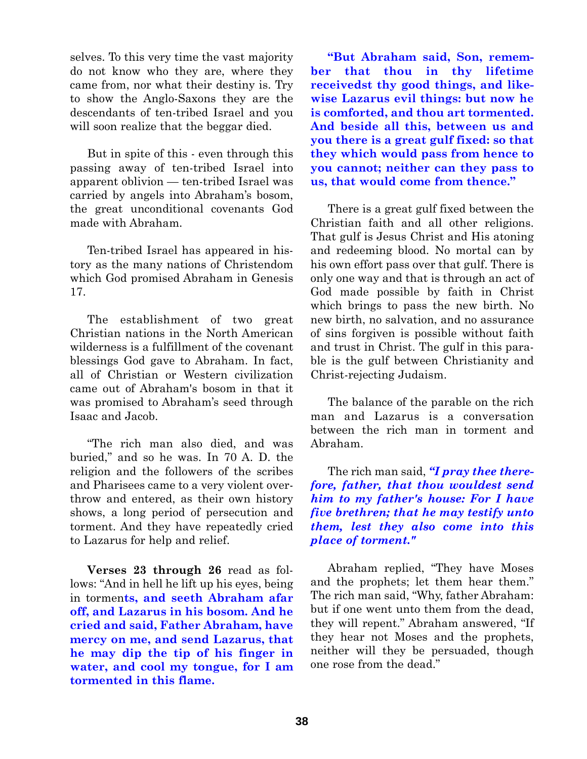selves. To this very time the vast majority do not know who they are, where they came from, nor what their destiny is. Try to show the Anglo-Saxons they are the descendants of ten-tribed Israel and you will soon realize that the beggar died.

But in spite of this - even through this passing away of ten-tribed Israel into apparent oblivion — ten-tribed Israel was carried by angels into Abraham's bosom, the great unconditional covenants God made with Abraham.

Ten-tribed Israel has appeared in history as the many nations of Christendom which God promised Abraham in Genesis 17.

The establishment of two great Christian nations in the North American wilderness is a fulfillment of the covenant blessings God gave to Abraham. In fact, all of Christian or Western civilization came out of Abraham's bosom in that it was promised to Abraham's seed through Isaac and Jacob.

"The rich man also died, and was buried," and so he was. In 70 A. D. the religion and the followers of the scribes and Pharisees came to a very violent overthrow and entered, as their own history shows, a long period of persecution and torment. And they have repeatedly cried to Lazarus for help and relief.

**Verses 23 through 26** read as follows: "And in hell he lift up his eyes, being in tormen**ts, and seeth Abraham afar off, and Lazarus in his bosom. And he cried and said, Father Abraham, have mercy on me, and send Lazarus, that he may dip the tip of his finger in water, and cool my tongue, for I am tormented in this flame.**

**"But Abraham said, Son, remember that thou in thy lifetime receivedst thy good things, and likewise Lazarus evil things: but now he is comforted, and thou art tormented. And beside all this, between us and you there is a great gulf fixed: so that they which would pass from hence to you cannot; neither can they pass to us, that would come from thence."**

There is a great gulf fixed between the Christian faith and all other religions. That gulf is Jesus Christ and His atoning and redeeming blood. No mortal can by his own effort pass over that gulf. There is only one way and that is through an act of God made possible by faith in Christ which brings to pass the new birth. No new birth, no salvation, and no assurance of sins forgiven is possible without faith and trust in Christ. The gulf in this parable is the gulf between Christianity and Christ-rejecting Judaism.

The balance of the parable on the rich man and Lazarus is a conversation between the rich man in torment and Abraham.

The rich man said, *"I pray thee therefore, father, that thou wouldest send him to my father's house: For I have five brethren; that he may testify unto them, lest they also come into this place of torment."*

Abraham replied, "They have Moses and the prophets; let them hear them." The rich man said, "Why, father Abraham: but if one went unto them from the dead, they will repent." Abraham answered, "If they hear not Moses and the prophets, neither will they be persuaded, though one rose from the dead."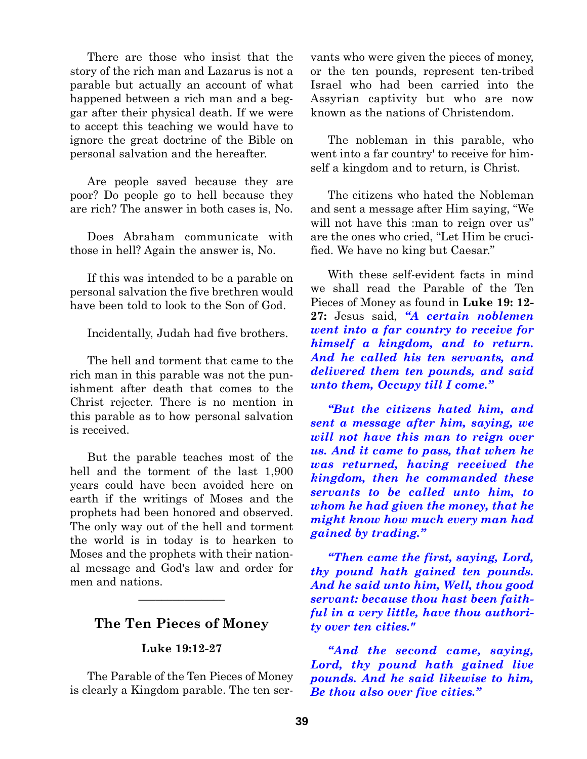There are those who insist that the story of the rich man and Lazarus is not a parable but actually an account of what happened between a rich man and a beggar after their physical death. If we were to accept this teaching we would have to ignore the great doctrine of the Bible on personal salvation and the hereafter.

Are people saved because they are poor? Do people go to hell because they are rich? The answer in both cases is, No.

Does Abraham communicate with those in hell? Again the answer is, No.

If this was intended to be a parable on personal salvation the five brethren would have been told to look to the Son of God.

Incidentally, Judah had five brothers.

The hell and torment that came to the rich man in this parable was not the punishment after death that comes to the Christ rejecter. There is no mention in this parable as to how personal salvation is received.

But the parable teaches most of the hell and the torment of the last 1,900 years could have been avoided here on earth if the writings of Moses and the prophets had been honored and observed. The only way out of the hell and torment the world is in today is to hearken to Moses and the prophets with their national message and God's law and order for men and nations.

# **The Ten Pieces of Money**

 $\overline{\phantom{a}}$  , where  $\overline{\phantom{a}}$ 

## **Luke 19:12-27**

The Parable of the Ten Pieces of Money is clearly a Kingdom parable. The ten servants who were given the pieces of money, or the ten pounds, represent ten-tribed Israel who had been carried into the Assyrian captivity but who are now known as the nations of Christendom.

The nobleman in this parable, who went into a far country' to receive for himself a kingdom and to return, is Christ.

The citizens who hated the Nobleman and sent a message after Him saying, "We will not have this :man to reign over us" are the ones who cried, "Let Him be crucified. We have no king but Caesar."

With these self-evident facts in mind we shall read the Parable of the Ten Pieces of Money as found in **Luke 19: 12- 27:** Jesus said, *"A certain noblemen went into a far country to receive for himself a kingdom, and to return. And he called his ten servants, and delivered them ten pounds, and said unto them, Occupy till I come."*

*"But the citizens hated him, and sent a message after him, saying, we will not have this man to reign over us. And it came to pass, that when he was returned, having received the kingdom, then he commanded these servants to be called unto him, to whom he had given the money, that he might know how much every man had gained by trading."*

*"Then came the first, saying, Lord, thy pound hath gained ten pounds. And he said unto him, Well, thou good servant: because thou hast been faithful in a very little, have thou authority over ten cities."*

*"And the second came, saying, Lord, thy pound hath gained live pounds. And he said likewise to him, Be thou also over five cities."*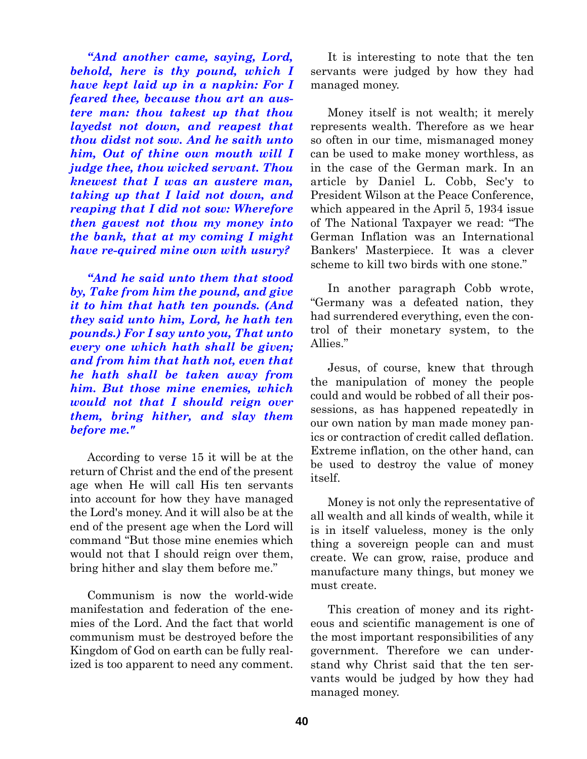*"And another came, saying, Lord, behold, here is thy pound, which I have kept laid up in a napkin: For I feared thee, because thou art an austere man: thou takest up that thou layedst not down, and reapest that thou didst not sow. And he saith unto him, Out of thine own mouth will I judge thee, thou wicked servant. Thou knewest that I was an austere man, taking up that I laid not down, and reaping that I did not sow: Wherefore then gavest not thou my money into the bank, that at my coming I might have re-quired mine own with usury?*

*"And he said unto them that stood by, Take from him the pound, and give it to him that hath ten pounds. (And they said unto him, Lord, he hath ten pounds.) For I say unto you, That unto every one which hath shall be given; and from him that hath not, even that he hath shall be taken away from him. But those mine enemies, which would not that I should reign over them, bring hither, and slay them before me."*

According to verse 15 it will be at the return of Christ and the end of the present age when He will call His ten servants into account for how they have managed the Lord's money. And it will also be at the end of the present age when the Lord will command "But those mine enemies which would not that I should reign over them, bring hither and slay them before me."

Communism is now the world-wide manifestation and federation of the enemies of the Lord. And the fact that world communism must be destroyed before the Kingdom of God on earth can be fully realized is too apparent to need any comment.

It is interesting to note that the ten servants were judged by how they had managed money.

Money itself is not wealth; it merely represents wealth. Therefore as we hear so often in our time, mismanaged money can be used to make money worthless, as in the case of the German mark. In an article by Daniel L. Cobb, Sec'y to President Wilson at the Peace Conference, which appeared in the April 5, 1934 issue of The National Taxpayer we read: "The German Inflation was an International Bankers' Masterpiece. It was a clever scheme to kill two birds with one stone."

In another paragraph Cobb wrote, "Germany was a defeated nation, they had surrendered everything, even the control of their monetary system, to the Allies."

Jesus, of course, knew that through the manipulation of money the people could and would be robbed of all their possessions, as has happened repeatedly in our own nation by man made money panics or contraction of credit called deflation. Extreme inflation, on the other hand, can be used to destroy the value of money itself.

Money is not only the representative of all wealth and all kinds of wealth, while it is in itself valueless, money is the only thing a sovereign people can and must create. We can grow, raise, produce and manufacture many things, but money we must create.

This creation of money and its righteous and scientific management is one of the most important responsibilities of any government. Therefore we can understand why Christ said that the ten servants would be judged by how they had managed money.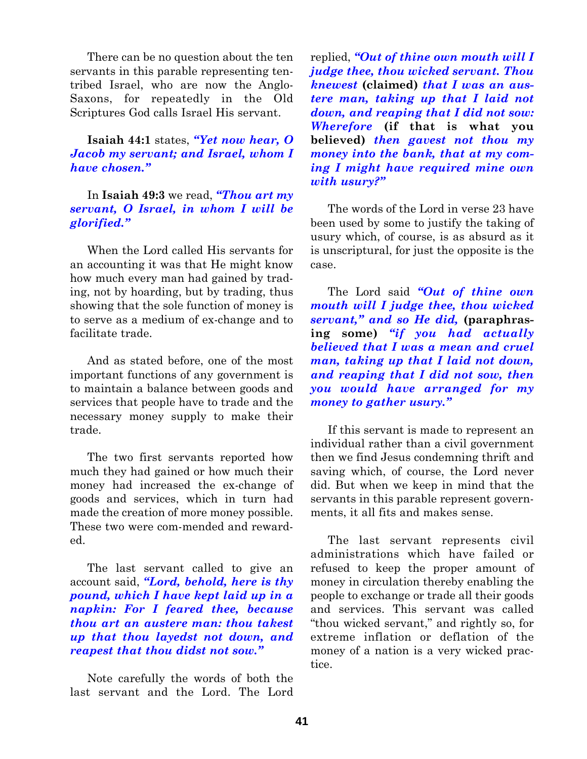There can be no question about the ten servants in this parable representing tentribed Israel, who are now the Anglo-Saxons, for repeatedly in the Old Scriptures God calls Israel His servant.

## **Isaiah 44:1** states, *"Yet now hear, O Jacob my servant; and Israel, whom I have chosen."*

In **Isaiah 49:3** we read, *"Thou art my servant, O Israel, in whom I will be glorified."*

When the Lord called His servants for an accounting it was that He might know how much every man had gained by trading, not by hoarding, but by trading, thus showing that the sole function of money is to serve as a medium of ex-change and to facilitate trade.

And as stated before, one of the most important functions of any government is to maintain a balance between goods and services that people have to trade and the necessary money supply to make their trade.

The two first servants reported how much they had gained or how much their money had increased the ex-change of goods and services, which in turn had made the creation of more money possible. These two were com-mended and rewarded.

The last servant called to give an account said, *"Lord, behold, here is thy pound, which I have kept laid up in a napkin: For I feared thee, because thou art an austere man: thou takest up that thou layedst not down, and reapest that thou didst not sow."*

Note carefully the words of both the last servant and the Lord. The Lord

replied, *"Out of thine own mouth will I judge thee, thou wicked servant. Thou knewest* **(claimed)** *that I was an austere man, taking up that I laid not down, and reaping that I did not sow: Wherefore* **(if that is what you believed)** *then gavest not thou my money into the bank, that at my coming I might have required mine own with usury?"*

The words of the Lord in verse 23 have been used by some to justify the taking of usury which, of course, is as absurd as it is unscriptural, for just the opposite is the case.

The Lord said *"Out of thine own mouth will I judge thee, thou wicked servant," and so He did,* **(paraphrasing some)** *"if you had actually believed that I was a mean and cruel man, taking up that I laid not down, and reaping that I did not sow, then you would have arranged for my money to gather usury."*

If this servant is made to represent an individual rather than a civil government then we find Jesus condemning thrift and saving which, of course, the Lord never did. But when we keep in mind that the servants in this parable represent governments, it all fits and makes sense.

The last servant represents civil administrations which have failed or refused to keep the proper amount of money in circulation thereby enabling the people to exchange or trade all their goods and services. This servant was called "thou wicked servant," and rightly so, for extreme inflation or deflation of the money of a nation is a very wicked practice.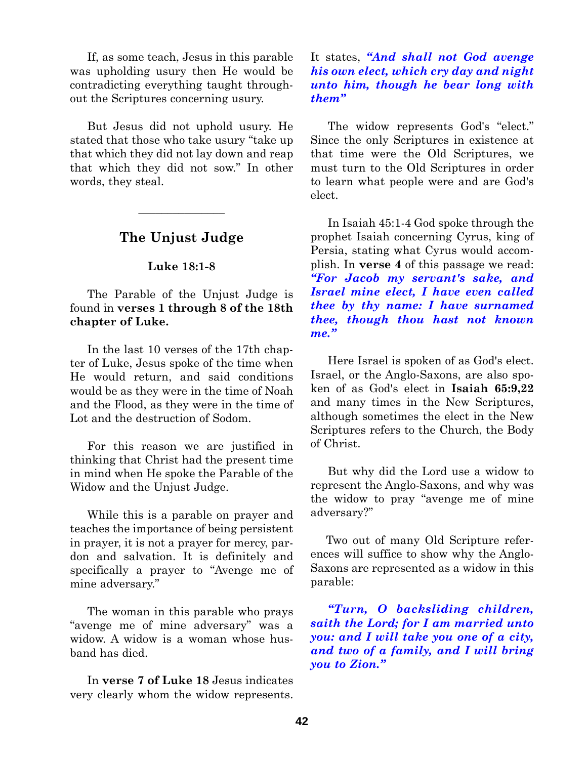If, as some teach, Jesus in this parable was upholding usury then He would be contradicting everything taught throughout the Scriptures concerning usury.

But Jesus did not uphold usury. He stated that those who take usury "take up that which they did not lay down and reap that which they did not sow." In other words, they steal.

# **The Unjust Judge**

 $\overline{\phantom{a}}$  , where  $\overline{\phantom{a}}$ 

### **Luke 18:1-8**

The Parable of the Unjust Judge is found in **verses 1 through 8 of the 18th chapter of Luke.**

In the last 10 verses of the 17th chapter of Luke, Jesus spoke of the time when He would return, and said conditions would be as they were in the time of Noah and the Flood, as they were in the time of Lot and the destruction of Sodom.

For this reason we are justified in thinking that Christ had the present time in mind when He spoke the Parable of the Widow and the Unjust Judge.

While this is a parable on prayer and teaches the importance of being persistent in prayer, it is not a prayer for mercy, pardon and salvation. It is definitely and specifically a prayer to "Avenge me of mine adversary."

The woman in this parable who prays "avenge me of mine adversary" was a widow. A widow is a woman whose husband has died.

In **verse 7 of Luke 18** Jesus indicates very clearly whom the widow represents.

## It states, *"And shall not God avenge his own elect, which cry day and night unto him, though he bear long with them"*

The widow represents God's "elect." Since the only Scriptures in existence at that time were the Old Scriptures, we must turn to the Old Scriptures in order to learn what people were and are God's elect.

In Isaiah 45:1-4 God spoke through the prophet Isaiah concerning Cyrus, king of Persia, stating what Cyrus would accomplish. In **verse 4** of this passage we read: *"For Jacob my servant's sake, and Israel mine elect, I have even called thee by thy name: I have surnamed thee, though thou hast not known me."*

Here Israel is spoken of as God's elect. Israel, or the Anglo-Saxons, are also spoken of as God's elect in **Isaiah 65:9,22** and many times in the New Scriptures, although sometimes the elect in the New Scriptures refers to the Church, the Body of Christ.

But why did the Lord use a widow to represent the Anglo-Saxons, and why was the widow to pray "avenge me of mine adversary?"

Two out of many Old Scripture references will suffice to show why the Anglo-Saxons are represented as a widow in this parable:

*"Turn, O backsliding children, saith the Lord; for I am married unto you: and I will take you one of a city, and two of a family, and I will bring you to Zion."*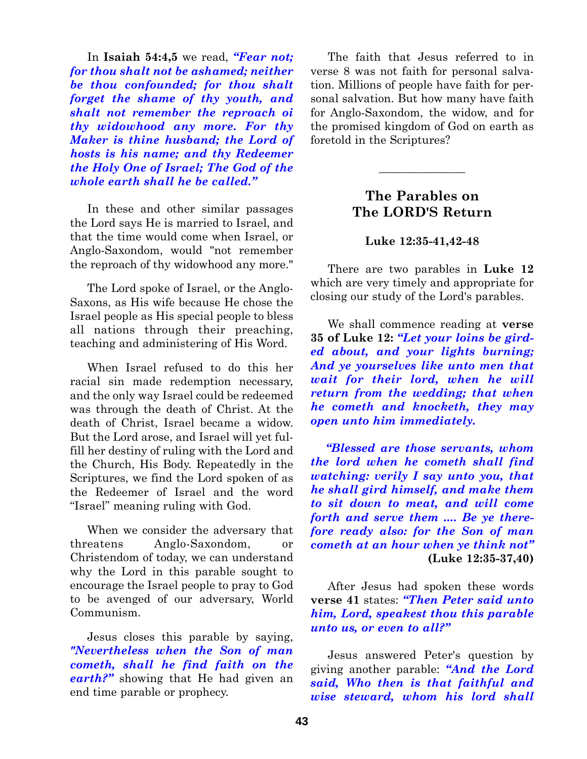In **Isaiah 54:4,5** we read, *"Fear not; for thou shalt not be ashamed; neither be thou confounded; for thou shalt forget the shame of thy youth, and shalt not remember the reproach oi thy widowhood any more. For thy Maker is thine husband; the Lord of hosts is his name; and thy Redeemer the Holy One of Israel; The God of the whole earth shall he be called."*

In these and other similar passages the Lord says He is married to Israel, and that the time would come when Israel, or Anglo-Saxondom, would "not remember the reproach of thy widowhood any more."

The Lord spoke of Israel, or the Anglo-Saxons, as His wife because He chose the Israel people as His special people to bless all nations through their preaching, teaching and administering of His Word.

When Israel refused to do this her racial sin made redemption necessary, and the only way Israel could be redeemed was through the death of Christ. At the death of Christ, Israel became a widow. But the Lord arose, and Israel will yet fulfill her destiny of ruling with the Lord and the Church, His Body. Repeatedly in the Scriptures, we find the Lord spoken of as the Redeemer of Israel and the word "Israel" meaning ruling with God.

When we consider the adversary that threatens Anglo-Saxondom, or Christendom of today, we can understand why the Lord in this parable sought to encourage the Israel people to pray to God to be avenged of our adversary, World Communism.

Jesus closes this parable by saying, *"Nevertheless when the Son of man cometh, shall he find faith on the earth?"* showing that He had given an end time parable or prophecy.

The faith that Jesus referred to in verse 8 was not faith for personal salvation. Millions of people have faith for personal salvation. But how many have faith for Anglo-Saxondom, the widow, and for the promised kingdom of God on earth as foretold in the Scriptures?

# **The Parables on The LORD'S Return**

 $\overline{\phantom{a}}$  , where  $\overline{\phantom{a}}$ 

## **Luke 12:35-41,42-48**

There are two parables in **Luke 12** which are very timely and appropriate for closing our study of the Lord's parables.

We shall commence reading at **verse 35 of Luke 12:** *"Let your loins be girded about, and your lights burning; And ye yourselves like unto men that wait for their lord, when he will return from the wedding; that when he cometh and knocketh, they may open unto him immediately.*

*"Blessed are those servants, whom the lord when he cometh shall find watching: verily I say unto you, that he shall gird himself, and make them to sit down to meat, and will come forth and serve them .... Be ye therefore ready also: for the Son of man cometh at an hour when ye think not"* **(Luke 12:35-37,40)**

After Jesus had spoken these words **verse 41** states: *"Then Peter said unto him, Lord, speakest thou this parable unto us, or even to all?"*

Jesus answered Peter's question by giving another parable: *"And the Lord said, Who then is that faithful and wise steward, whom his lord shall*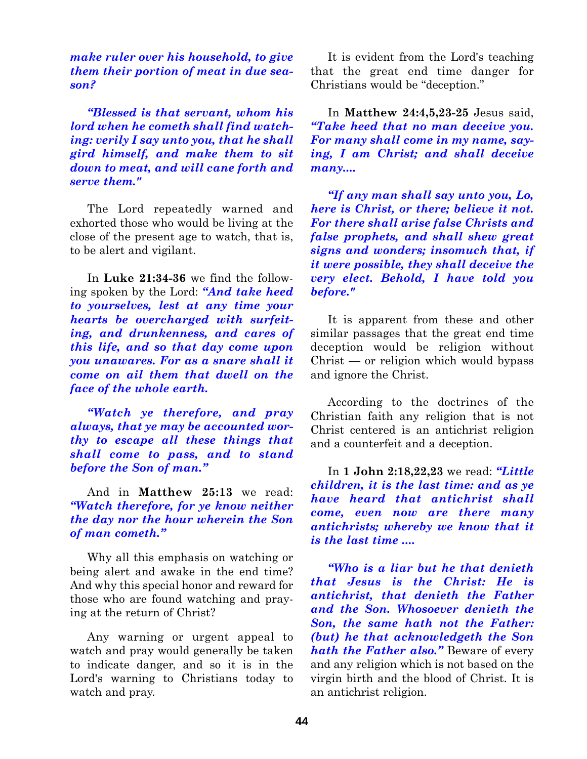*make ruler over his household, to give them their portion of meat in due season?*

*"Blessed is that servant, whom his lord when he cometh shall find watching: verily I say unto you, that he shall gird himself, and make them to sit down to meat, and will cane forth and serve them."*

The Lord repeatedly warned and exhorted those who would be living at the close of the present age to watch, that is, to be alert and vigilant.

In **Luke 21:34-36** we find the following spoken by the Lord: *"And take heed to yourselves, lest at any time your hearts be overcharged with surfeiting, and drunkenness, and cares of this life, and so that day come upon you unawares. For as a snare shall it come on ail them that dwell on the face of the whole earth.*

*"Watch ye therefore, and pray always, that ye may be accounted worthy to escape all these things that shall come to pass, and to stand before the Son of man."*

And in **Matthew 25:13** we read: *"Watch therefore, for ye know neither the day nor the hour wherein the Son of man cometh."*

Why all this emphasis on watching or being alert and awake in the end time? And why this special honor and reward for those who are found watching and praying at the return of Christ?

Any warning or urgent appeal to watch and pray would generally be taken to indicate danger, and so it is in the Lord's warning to Christians today to watch and pray.

It is evident from the Lord's teaching that the great end time danger for Christians would be "deception."

In **Matthew 24:4,5,23-25** Jesus said, *"Take heed that no man deceive you. For many shall come in my name, saying, I am Christ; and shall deceive many....*

*"If any man shall say unto you, Lo, here is Christ, or there; believe it not. For there shall arise false Christs and false prophets, and shall shew great signs and wonders; insomuch that, if it were possible, they shall deceive the very elect. Behold, I have told you before."*

It is apparent from these and other similar passages that the great end time deception would be religion without Christ — or religion which would bypass and ignore the Christ.

According to the doctrines of the Christian faith any religion that is not Christ centered is an antichrist religion and a counterfeit and a deception.

In **1 John 2:18,22,23** we read: *"Little children, it is the last time: and as ye have heard that antichrist shall come, even now are there many antichrists; whereby we know that it is the last time ....*

*"Who is a liar but he that denieth that Jesus is the Christ: He is antichrist, that denieth the Father and the Son. Whosoever denieth the Son, the same hath not the Father: (but) he that acknowledgeth the Son hath the Father also."* Beware of every and any religion which is not based on the virgin birth and the blood of Christ. It is an antichrist religion.